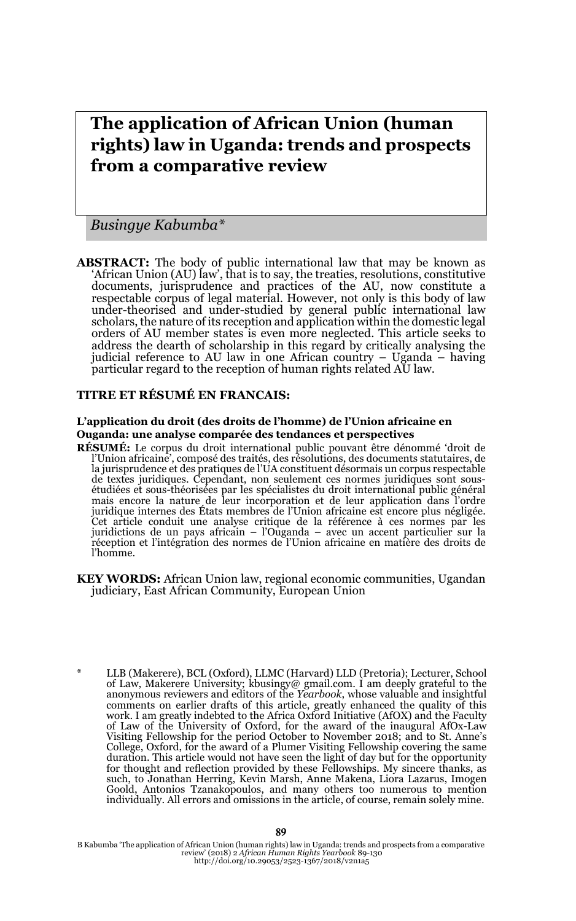# **The application of African Union (human rights) law in Uganda: trends and prospects from a comparative review**

*Busingye Kabumba\**

**ABSTRACT:** The body of public international law that may be known as 'African Union (AU) law', that is to say, the treaties, resolutions, constitutive documents, jurisprudence and practices of the AU, now constitute a respectable corpus of legal material. However, not only is this body of law under-theorised and under-studied by general public international law scholars, the nature of its reception and application within the domestic legal orders of AU member states is even more neglected. This article seeks to address the dearth of scholarship in this regard by critically analysing the judicial reference to AU law in one African country – Uganda – having particular regard to the reception of human rights related AU law.

#### **TITRE ET RÉSUMÉ EN FRANCAIS:**

#### **L'application du droit (des droits de l'homme) de l'Union africaine en Ouganda: une analyse comparée des tendances et perspectives**

**RÉSUMÉ:** Le corpus du droit international public pouvant être dénommé 'droit de l'Union africaine', composé des traités, des résolutions, des documents statutaires, de la jurisprudence et des pratiques de l'UA constituent désormais un corpus respectable de textes juridiques. Cependant, non seulement ces normes juridiques sont sousétudiées et sous-théorisées par les spécialistes du droit international public général mais encore in nature de leur incorporation et de l'Union africaine est encore plus négligée. Cet article conduit une analyse critique de la référence à ces normes par les juridictions de un pays africain – l'Ouganda – avec un accent particulier sur la réception et l'intégration des normes de l'Union africaine en matière des droits de l'homme.

- **KEY WORDS:** African Union law, regional economic communities, Ugandan judiciary, East African Community, European Union
- \* LLB (Makerere), BCL (Oxford), LLMC (Harvard) LLD (Pretoria); Lecturer, School of Law, Makerere University; kbusingy@ gmail.com. I am deeply grateful to the anonymous reviewers and editors of the *Yearbook*, whose valuable and insightful comments on earlier drafts of this article, greatly enhanced the quality of this work. I am greatly indebted to the Africa Oxford Initiative (AfOX) and the Faculty of Law of the University of Oxford, for the award of the inaugural AfOx-Law Visiting Fellowship for the period October to November 2018; and to St. Anne's<br>College, Oxford, for the award of a Plumer Visiting Fellowship covering the same<br>duration. This article would not have seen the light of day bu for thought and reflection provided by these Fellowships. My sincere thanks, as such, to Jonathan Herring, Kevin Marsh, Anne Makena, Liora Lazarus, Imogen Goold, Antonios Tzanakopoulos, and many others too numerous to mention individually. All errors and omissions in the article, of course, remain solely mine.

B Kabumba 'The application of African Union (human rights) law in Uganda: trends and prospects from a comparative review' (2018) 2 *African Human Rights Yearbook* 89-130 http://doi.org/10.29053/2523-1367/2018/v2n1a5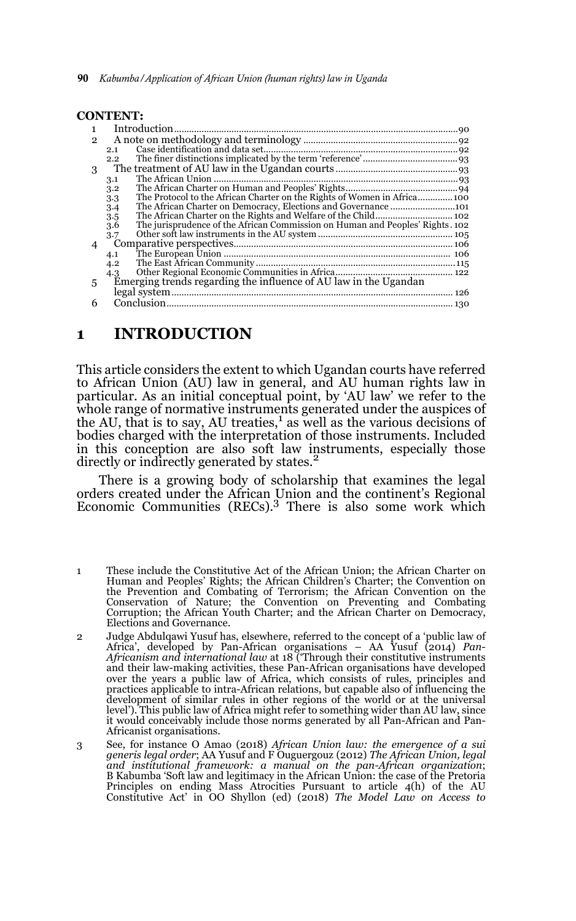|                | <b>CONTENT:</b>                                                                      |  |
|----------------|--------------------------------------------------------------------------------------|--|
| $\mathbf{1}$   |                                                                                      |  |
| $\mathcal{P}$  |                                                                                      |  |
|                | 2.1                                                                                  |  |
|                | $2.2^{\circ}$                                                                        |  |
| 3              |                                                                                      |  |
|                | 3.1                                                                                  |  |
|                | 3.2                                                                                  |  |
|                | The Protocol to the African Charter on the Rights of Women in Africa 100<br>3.3      |  |
|                | The African Charter on Democracy, Elections and Governance 101<br>3.4                |  |
|                | 3.5                                                                                  |  |
|                | 3.6<br>The jurisprudence of the African Commission on Human and Peoples' Rights. 102 |  |
|                | 3.7                                                                                  |  |
| $\overline{4}$ |                                                                                      |  |
|                | 4.1                                                                                  |  |
|                | 4.2                                                                                  |  |
|                | 4.3                                                                                  |  |
| 5              | Emerging trends regarding the influence of AU law in the Ugandan                     |  |
|                |                                                                                      |  |
| 6              |                                                                                      |  |

### **1 INTRODUCTION**

This article considers the extent to which Ugandan courts have referred to African Union (AU) law in general, and AU human rights law in particular. As an initial conceptual point, by 'AU law' we refer to the whole range of normative instruments generated under the auspices of the AU, that is to say, AU treaties, $\frac{1}{1}$  as well as the various decisions of bodies charged with the interpretation of those instruments. Included in this conception are also soft law instruments, especially those directly or indirectly generated by states.<sup>2</sup>

There is a growing body of scholarship that examines the legal orders created under the African Union and the continent's Regional Economic Communities (RECs).3 There is also some work which

- 1 These include the Constitutive Act of the African Union; the African Charter on Human and Peoples' Rights; the African Children's Charter; the Convention on the Prevention and Combating of Terrorism; the African Convention on the Conservation of Nature; the Convention on Preventing and Combating Corruption; the African Youth Charter; and the African Charter on Democracy, Elections and Governance.
- 2 Judge Abdulqawi Yusuf has, elsewhere, referred to the concept of a 'public law of Africa', developed by Pan-African organisations – AA Yusuf (2014) *Pan-Africanism and international law* at 18 ('Through their constitutive instruments and their law-making activities, these Pan-African organisations have developed over the years a public law of Africa, which consists of rules, principles and practices applicable to intra-African relations, but capable also of influencing the development of similar rules in other regions of the world or at the universal level'). This public law of Africa might refer to something wider than AU law, since it would conceivably include those norms generated by all Pan-African and Pan-Africanist organisations.
- 3 See, for instance O Amao (2018) *African Union law: the emergence of a sui generis legal order*; AA Yusuf and F Ouguergouz (2012) *The African Union, legal and institutional framework: a manual on the pan-African organization*; B Kabumba 'Soft law and legitimacy in the African Union: the case of the Pretoria Principles on ending Mass Atrocities Pursuant to article 4(h) of the AU Constitutive Act' in OO Shyllon (ed) (2018) *The Model Law on Access to*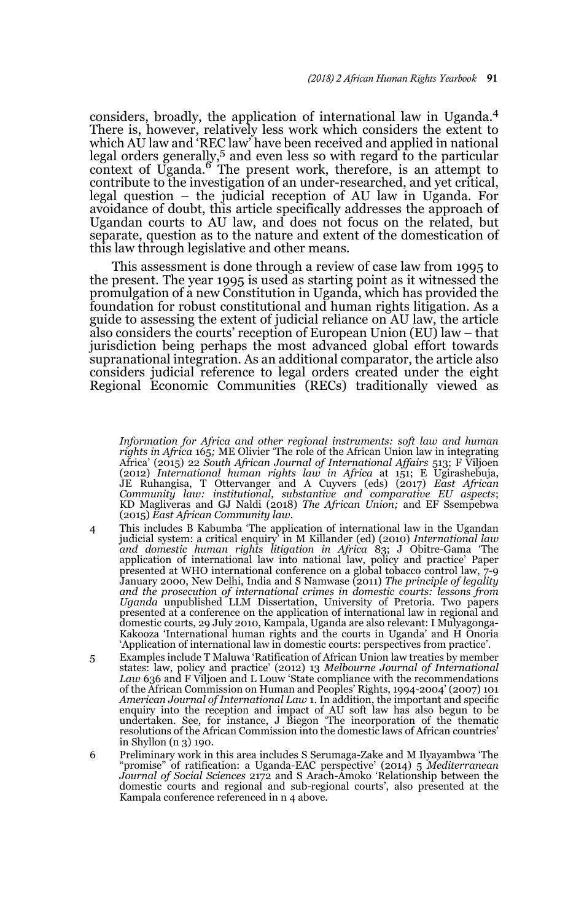considers, broadly, the application of international law in Uganda.<sup>4</sup> There is, however, relatively less work which considers the extent to which AU law and 'REC law' have been received and applied in national legal orders generally,<sup>5</sup> and even less so with regard to the particular context of Uganda. $\overset{\circ}{\text{o}}$  The present work, therefore, is an attempt to contribute to the investigation of an under-researched, and yet critical, legal question – the judicial reception of AU law in Uganda. For avoidance of doubt, this article specifically addresses the approach of Ugandan courts to AU law, and does not focus on the related, but separate, question as to the nature and extent of the domestication of this law through legislative and other means.

This assessment is done through a review of case law from 1995 to the present. The year 1995 is used as starting point as it witnessed the promulgation of a new Constitution in Uganda, which has provided the foundation for robust constitutional and human rights litigation. As a guide to assessing the extent of judicial reliance on AU law, the article also considers the courts' reception of European Union (EU) law – that jurisdiction being perhaps the most advanced global effort towards supranational integration. As an additional comparator, the article also considers judicial reference to legal orders created under the eight Regional Economic Communities (RECs) traditionally viewed as

3 *Information for Africa and other regional instruments: soft law and human rights in Africa* 165*;* ME Olivier 'The role of the African Union law in integrating Africa' (2015) 22 *South African Journal of International Affairs* 513; F Viljoen (2012) *International human rights law in Africa* at 151; E Ugirashebuja, JE Ruhangisa, T Ottervanger and A Cuyvers (eds) (2017) *East African Community law: institutional, substantive and comparative EU aspects*; KD Magliveras and GJ Naldi (2018) *The African Union;* and EF Ssempebwa (2015) *East African Community law.*

- 4 This includes B Kabumba 'The application of international law in the Ugandan judicial system: a critical enquiry' in M Killander (ed) (2010) *International law and domestic human rights litigation in Africa* 83; J Obitre-Gama 'The application of international law into national law, policy and practice' Paper presented at WHO international conference on a global tobacco control law, 7-9 January 2000, New Delhi, India and S Namwase (2011) *The principle of legality and the prosecution of international crimes in domestic courts: lessons from Uganda* unpublished LLM Dissertation, University of Pretoria. Two papers presented at a conference on the application of international law in regional and domestic courts, 29 July 2010, Kampala, Uganda are also relevant: I Mulyagonga-Kakooza 'International human rights and the courts in Uganda' and H Onoria 'Application of international law in domestic courts: perspectives from practice'.
- 5 Examples include T Maluwa 'Ratification of African Union law treaties by member states: law, policy and practice' (2012) 13 *Melbourne Journal of International Law* 636 and F Viljoen and L Louw 'State compliance with the recommendations of the African Commission on Human and Peoples' Rights, 1994-2004' (2007) 101 *American Journal of International Law* 1. In addition, the important and specific enquiry into the reception and impact of AU soft law has also begun to be undertaken. See, for instance, J Biegon 'The incorporation of the thematic resolutions of the African Commission into the domestic laws of African countries' in Shyllon (n 3) 190.
- 6 Preliminary work in this area includes S Serumaga-Zake and M Ilyayambwa 'The "promise" of ratification: a Uganda-EAC perspective' (2014) 5 *Mediterranean Journal of Social Sciences* 2172 and S Arach-Amoko 'Relationship between the domestic courts and regional and sub-regional courts', also presented at the Kampala conference referenced in n 4 above.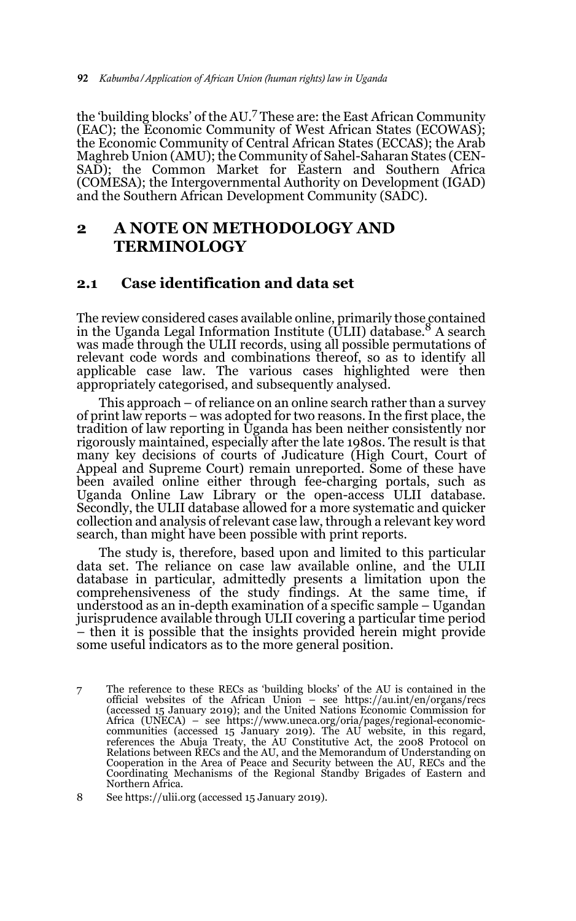the 'building blocks' of the AU.7 These are: the East African Community (EAC); the Economic Community of West African States (ECOWAS); the Economic Community of Central African States (ECCAS); the Arab Maghreb Union (AMU); the Community of Sahel-Saharan States (CEN-SAD); the Common Market for Eastern and Southern Africa (COMESA); the Intergovernmental Authority on Development (IGAD) and the Southern African Development Community (SADC).

## **2 A NOTE ON METHODOLOGY AND TERMINOLOGY**

#### **2.1 Case identification and data set**

The review considered cases available online, primarily those contained<br>in the Uganda Legal Information Institute (ULII) database.<sup>8</sup> A search was made through the ULII records, using all possible permutations of relevant code words and combinations thereof, so as to identify all applicable case law. The various cases highlighted were then appropriately categorised, and subsequently analysed.

This approach – of reliance on an online search rather than a survey of print law reports – was adopted for two reasons. In the first place, the tradition of law reporting in Uganda has been neither consistently nor rigorously maintained, especially after the late 1980s. The result is that many key decisions of courts of Judicature (High Court, Court of Appeal and Supreme Court) remain unreported. Some of these have been availed online either through fee-charging portals, such as Uganda Online Law Library or the open-access ULII database. Secondly, the ULII database allowed for a more systematic and quicker collection and analysis of relevant case law, through a relevant key word search, than might have been possible with print reports.

The study is, therefore, based upon and limited to this particular data set. The reliance on case law available online, and the ULII database in particular, admittedly presents a limitation upon the comprehensiveness of the study findings. At the same time, if understood as an in-depth examination of a specific sample – Ugandan jurisprudence available through ULII covering a particular time period – then it is possible that the insights provided herein might provide some useful indicators as to the more general position.

<sup>7</sup> The reference to these RECs as 'building blocks' of the AU is contained in the official websites of the African Union – see https://au.int/en/organs/recs (accessed 15 January 2019); and the United Nations Economic Commission for Africa (UNECA) – see https://www.uneca.org/oria/pages/regional-economic-communities (accessed 15 January 2019). The AU website, in this regard, references the Abuja Treaty, the AU Constitutive Act, the 2008 Protocol on Relations between RECs and the AU, and the Memorandum of Understanding on Cooperation in the Area of Peace and Security between the AU, RECs and the Coordinating Mechanisms of the Regional Standby Brigades of Eastern and Northern Africa.

<sup>8</sup> See https://ulii.org (accessed 15 January 2019).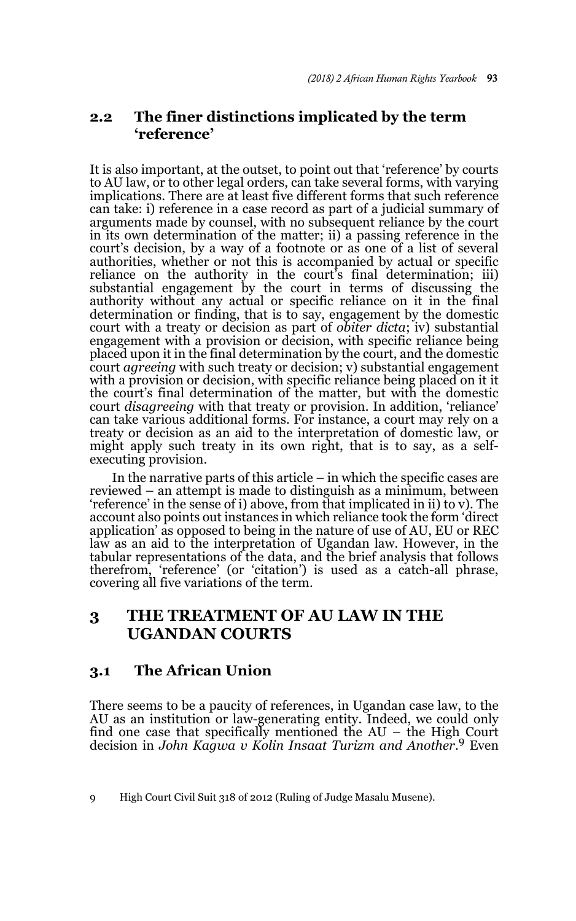## **2.2 The finer distinctions implicated by the term 'reference'**

It is also important, at the outset, to point out that 'reference' by courts to AU law, or to other legal orders, can take several forms, with varying implications. There are at least five different forms that such reference can take: i) reference in a case record as part of a judicial summary of arguments made by counsel, with no subsequent reliance by the court in its own determination of the matter; ii) a passing reference in the court's decision, by a way of a footnote or as one of a list of several authorities, whether or not this is accompanied by actual or specific reliance on the authority in the court's final determination; iii) substantial engagement by the court in terms of discussing the authority without any actual or specific reliance on it in the final determination or finding, that is to say, engagement by the domestic court with a treaty or decision as part of *obiter dicta*; iv) substantial engagement with a provision or decision, with specific reliance being placed upon it in the final determination by the court, and the domestic court *agreeing* with such treaty or decision; v) substantial engagement with a provision or decision, with specific reliance being placed on it it the court's final determination of the matter, but with the domestic court *disagreeing* with that treaty or provision. In addition, 'reliance' can take various additional forms. For instance, a court may rely on a treaty or decision as an aid to the interpretation of domestic law, or might apply such treaty in its own right, that is to say, as a selfexecuting provision.

In the narrative parts of this article – in which the specific cases are reviewed – an attempt is made to distinguish as a minimum, between 'reference' in the sense of i) above, from that implicated in ii) to v). The account also points out instances in which reliance took the form 'direct application' as opposed to being in the nature of use of AU, EU or REC law as an aid to the interpretation of Ugandan law. However, in the tabular representations of the data, and the brief analysis that follows therefrom, 'reference' (or 'citation') is used as a catch-all phrase, covering all five variations of the term.

## **3 THE TREATMENT OF AU LAW IN THE UGANDAN COURTS**

### **3.1 The African Union**

There seems to be a paucity of references, in Ugandan case law, to the AU as an institution or law-generating entity. Indeed, we could only find one case that specifically mentioned the AU – the High Court decision in *John Kagwa v Kolin Insaat Turizm and Another*. 9 Even

<sup>9</sup> High Court Civil Suit 318 of 2012 (Ruling of Judge Masalu Musene).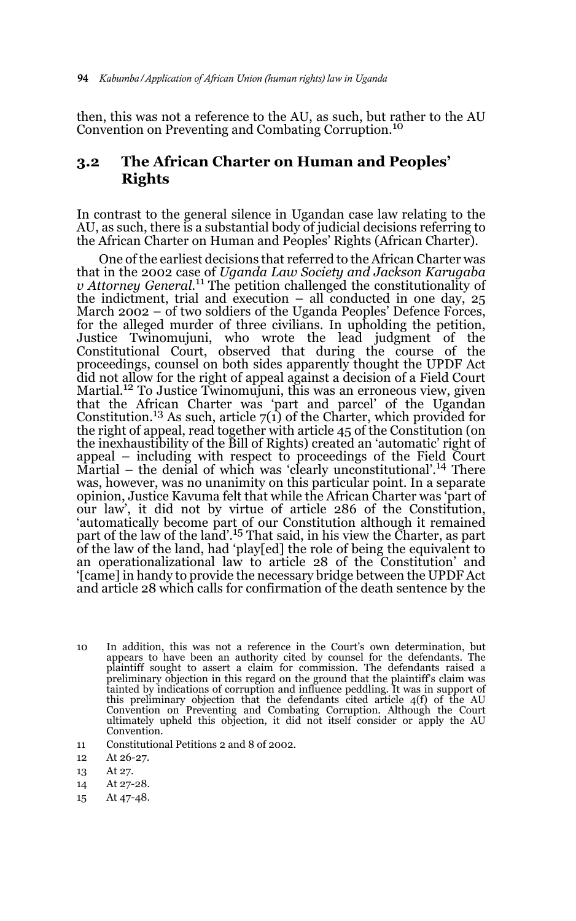then, this was not a reference to the AU, as such, but rather to the AU Convention on Preventing and Combating Corruption.<sup>10</sup>

### **3.2 The African Charter on Human and Peoples' Rights**

In contrast to the general silence in Ugandan case law relating to the AU, as such, there is a substantial body of judicial decisions referring to the African Charter on Human and Peoples' Rights (African Charter).

One of the earliest decisions that referred to the African Charter was that in the 2002 case of *Uganda Law Society and Jackson Karugaba v Attorney General.*11 The petition challenged the constitutionality of the indictment, trial and execution – all conducted in one day, 25 March 2002 – of two soldiers of the Uganda Peoples' Defence Forces, for the alleged murder of three civilians. In upholding the petition, Justice Twinomujuni, who wrote the lead judgment of the Constitutional Court, observed that during the course of the proceedings, counsel on both sides apparently thought the UPDF Act did not allow for the right of appeal against a decision of a Field Court Martial.<sup>12</sup> To Justice Twinomujuni, this was an erroneous view, given that the African Charter was 'part and parcel' of the Ugandan Constitution.13 As such, article 7(1) of the Charter, which provided for the right of appeal, read together with article 45 of the Constitution (on the inexhaustibility of the Bill of Rights) created an 'automatic' right of appeal – including with respect to proceedings of the Field Court Martial – the denial of which was 'clearly unconstitutional'.<sup>14</sup> There was, however, was no unanimity on this particular point. In a separate opinion, Justice Kavuma felt that while the African Charter was 'part of our law', it did not by virtue of article 286 of the Constitution, 'automatically become part of our Constitution although it remained part of the law of the land'.15 That said, in his view the Charter, as part of the law of the land, had 'play[ed] the role of being the equivalent to an operationalizational law to article 28 of the Constitution' and '[came] in handy to provide the necessary bridge between the UPDF Act and article 28 which calls for confirmation of the death sentence by the

- 10 In addition, this was not a reference in the Court's own determination, but appears to have been an authority cited by counsel for the defendants. The plaintiff sought to assert a claim for commission. The defendants raised a preliminary objection in this regard on the ground that the plaintiff's claim was tainted by indications of corruption and influence peddling. It was in support of this preliminary objection that the defendants cited article 4(f) of the AU Convention on Preventing and Combating Corruption. Although the Court ultimately upheld this objection, it did not itself consider or apply the AU Convention.
- 11 Constitutional Petitions 2 and 8 of 2002.

- 13 At 27.
- 14 At 27-28.
- 15 At 47-48.

<sup>12</sup> At 26-27.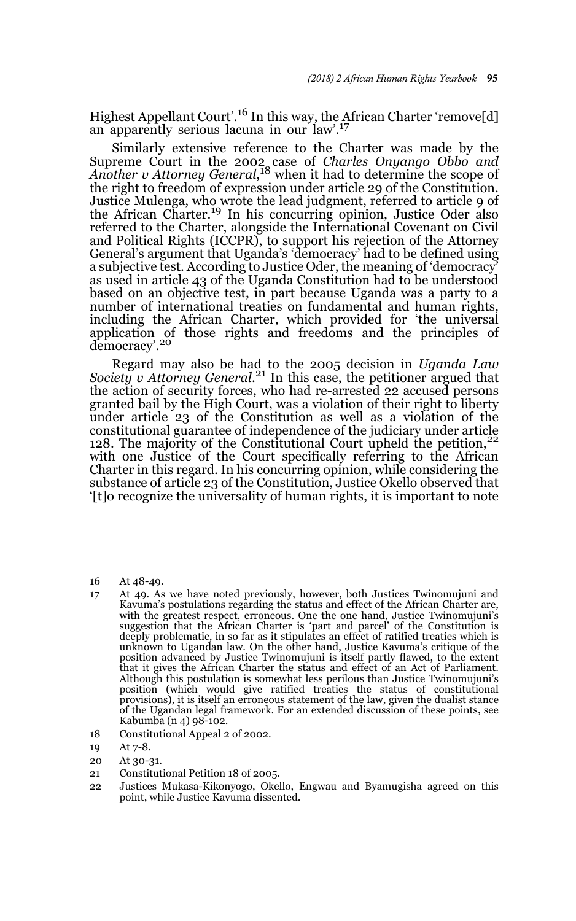Highest Appellant Court'.16 In this way, the African Charter 'remove[d] an apparently serious lacuna in our law'.<sup>17</sup>

Similarly extensive reference to the Charter was made by the Supreme Court in the 2002 case of *Charles Onyango Obbo and Another v Attorney General*, 18 when it had to determine the scope of the right to freedom of expression under article 29 of the Constitution. Justice Mulenga, who wrote the lead judgment, referred to article 9 of the African Charter.<sup>19</sup> In his concurring opinion, Justice Oder also referred to the Charter, alongside the International Covenant on Civil and Political Rights (ICCPR), to support his rejection of the Attorney General's argument that Uganda's 'democracy' had to be defined using a subjective test. According to Justice Oder, the meaning of 'democracy' as used in article 43 of the Uganda Constitution had to be understood based on an objective test, in part because Uganda was a party to a number of international treaties on fundamental and human rights, including the African Charter, which provided for 'the universal application of those rights and freedoms and the principles of democracy'.<sup>20</sup>

Regard may also be had to the 2005 decision in *Uganda Law Society v Attorney General*. 21 In this case, the petitioner argued that the action of security forces, who had re-arrested 22 accused persons granted bail by the High Court, was a violation of their right to liberty under article 23 of the Constitution as well as a violation of the constitutional guarantee of independence of the judiciary under article 128. The majority of the Constitutional Court upheld the petition,  $22$ with one Justice of the Court specifically referring to the African Charter in this regard. In his concurring opinion, while considering the substance of article 23 of the Constitution, Justice Okello observed that '[t]o recognize the universality of human rights, it is important to note

- 16 At 48-49.
- 17 At 49. As we have noted previously, however, both Justices Twinomujuni and Kavuma's postulations regarding the status and effect of the African Charter are, with the greatest respect, erroneous. One the one hand, Justice Twinomujuni's<br>suggestion that the African Charter is 'part and parcel' of the Constitution is<br>deeply problematic, in so far as it stipulates an effect of rati unknown to Ugandan law. On the other hand, Justice Kavuma's critique of the position advanced by Justice Twinomujuni is itself partly flawed, to the extent that it gives the African Charter the status and effect of an Act of Parliament. Although this postulation is somewhat less perilous than Justice Twinomujuni's position (which would give ratified treaties the status of constitutional provisions), it is itself an erroneous statement of the law, given the dualist stance of the Ugandan legal framework. For an extended discussion of these points, see Kabumba (n 4) 98-102.
- 18 Constitutional Appeal 2 of 2002.
- 19 At 7-8.
- 20 At 30-31.
- 21 Constitutional Petition 18 of 2005.
- 22 Justices Mukasa-Kikonyogo, Okello, Engwau and Byamugisha agreed on this point, while Justice Kavuma dissented.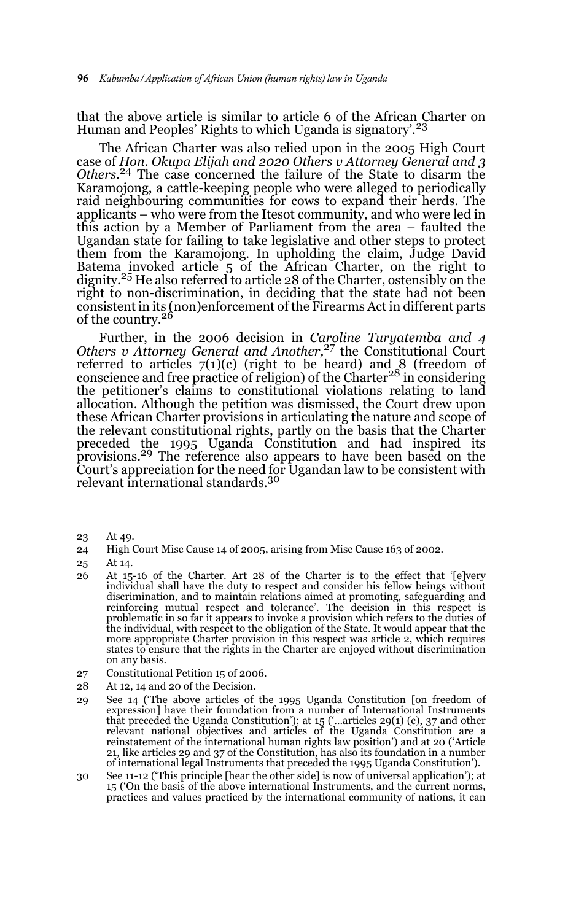that the above article is similar to article 6 of the African Charter on Human and Peoples' Rights to which Uganda is signatory'.<sup>23</sup>

The African Charter was also relied upon in the 2005 High Court case of *Hon. Okupa Elijah and 2020 Others v Attorney General and 3 Others*. 24 The case concerned the failure of the State to disarm the Karamojong, a cattle-keeping people who were alleged to periodically raid neighbouring communities for cows to expand their herds. The applicants – who were from the Itesot community, and who were led in this action by a Member of Parliament from the area – faulted the Ugandan state for failing to take legislative and other steps to protect them from the Karamojong. In upholding the claim, Judge David Batema invoked article 5 of the African Charter, on the right to dignity.<sup>25</sup> He also referred to article 28 of the Charter, ostensibly on the right to non-discrimination, in deciding that the state had not been consistent in its (non)enforcement of the Firearms Act in different parts<br>of the country.<sup>26</sup>

Further, in the 2006 decision in *Caroline Turyatemba and 4 Others v Attorney General and Another,*<sup>27</sup> the Constitutional Court referred to articles  $7(1)(c)$  (right to be heard) and 8 (freedom of conscience and free practice of religion) of the Charter28 in considering the petitioner's claims to constitutional violations relating to land allocation. Although the petition was dismissed, the Court drew upon these African Charter provisions in articulating the nature and scope of the relevant constitutional rights, partly on the basis that the Charter preceded the 1995 Uganda Constitution and had inspired its provisions.29 The reference also appears to have been based on the Court's appreciation for the need for Ugandan law to be consistent with relevant international standards.<sup>30</sup>

- 23 At 49.
- 24 High Court Misc Cause 14 of 2005, arising from Misc Cause 163 of 2002.
- 25 At 14.
- 26 At 15-16 of the Charter. Art 28 of the Charter is to the effect that '[e]very individual shall have the duty to respect and consider his fellow beings without discrimination, and to maintain relations aimed at promoting, safeguarding and reinforcing mutual respect and tolerance'. The decision in this respect is problematic in so far it appears to invoke a provision which refers to the duties of the individual, with respect to the obligation of the State. It would appear that the more appropriate Charter provision in this respect was article 2, which requires states to ensure that the rights in the Charter are enjoyed without discrimination on any basis.
- 27 Constitutional Petition 15 of 2006.
- 28 At 12, 14 and 20 of the Decision.
- 29 See 14 ('The above articles of the 1995 Uganda Constitution [on freedom of expression] have their foundation from a number of International Instruments that preceded the Uganda Constitution'); at 15 ('…articles 29(1) (c), 37 and other relevant national objectives and articles of the Uganda Constitution are a reinstatement of the international human rights law position') and at 20 ('Article 21, like articles 29 and 37 of the Constitution, has also its foundation in a number of international legal Instruments that preceded the 1995 Uganda Constitution').
- 30 See 11-12 ('This principle [hear the other side] is now of universal application'); at 15 ('On the basis of the above international Instruments, and the current norms, practices and values practiced by the international community of nations, it can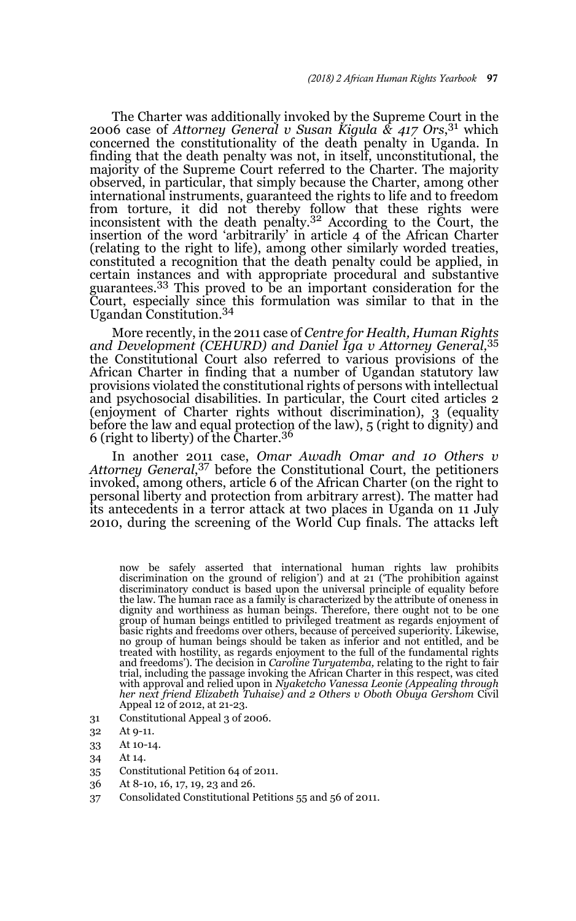The Charter was additionally invoked by the Supreme Court in the 2006 case of *Attorney General v Susan Kigula & 417 Ors*, 31 which concerned the constitutionality of the death penalty in Uganda. In finding that the death penalty was not, in itself, unconstitutional, the majority of the Supreme Court referred to the Charter. The majority observed, in particular, that simply because the Charter, among other international instruments, guaranteed the rights to life and to freedom from torture, it did not thereby follow that these rights were<br>inconsistent with the death penalty.<sup>32</sup> According to the Court, the insertion of the word 'arbitrarily' in article 4 of the African Charter (relating to the right to life), among other similarly worded treaties, constituted a recognition that the death penalty could be applied, in certain instances and with appropriate procedural and substantive guarantees.<sup>33</sup> This proved to be an important consideration for the Court, especially since this formulation was similar to that in the Ugandan Constitution.34

More recently, in the 2011 case of *Centre for Health, Human Rights and Development (CEHURD) and Daniel Iga v Attorney General,*<sup>35</sup> the Constitutional Court also referred to various provisions of the African Charter in finding that a number of Ugandan statutory law provisions violated the constitutional rights of persons with intellectual and psychosocial disabilities. In particular, the Court cited articles 2 (enjoyment of Charter rights without discrimination), 3 (equality before the law and equal protection of the law), 5 (right to dignity) and 6 (right to liberty) of the Charter.<sup>36</sup>

In another 2011 case, *Omar Awadh Omar and 10 Others v Attorney General*, 37 before the Constitutional Court, the petitioners invoked, among others, article 6 of the African Charter (on the right to personal liberty and protection from arbitrary arrest). The matter had its antecedents in a terror attack at two places in Uganda on 11 July 2010, during the screening of the World Cup finals. The attacks left

now be safely asserted that international human rights law prohibits discrimination on the ground of religion') and at 21 ('The prohibition against discriminatory conduct is based upon the universal principle of equality before the law. The human race as a family is characterized by the attribute of oneness in dignity and worthiness as human beings. Therefore, there ought not to be one group of human beings entitled to privileged treatment as regards enjoyment of basic rights and freedoms over others, because of perceived superiority. Likewise, no group of human beings should be taken as inferior and not entitled, and be treated with hostility, as regards enjoyment to the full of the fundamental rights and freedoms'). The decision in *Caroline Turyatemba,* relating to the right to fair trial, including the passage invoking the African Charter in this respect, was cited with approval and relied upon in *Nyaketcho Vanessa Leonie (Appealing through her next friend Elizabeth Tuhaise) and 2 Others v Oboth Obuya Gershom* Civil Appeal 12 of 2012, at 21-23.

- 31 Constitutional Appeal 3 of 2006.
- 32 At 9-11.
- 33 At 10-14.
- 34 At 14.
- 35 Constitutional Petition 64 of 2011.
- 36 At 8-10, 16, 17, 19, 23 and 26.
- 37 Consolidated Constitutional Petitions 55 and 56 of 2011.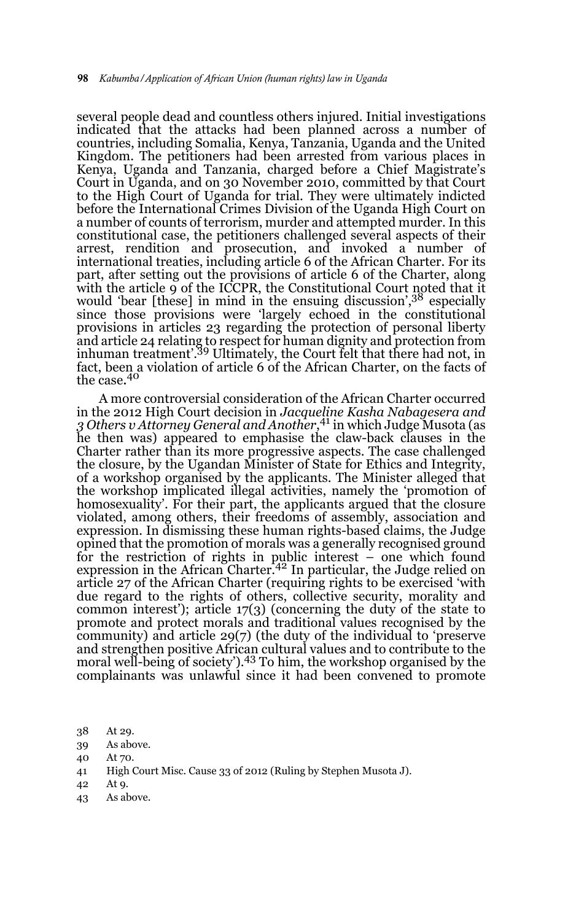several people dead and countless others injured. Initial investigations indicated that the attacks had been planned across a number of countries, including Somalia, Kenya, Tanzania, Uganda and the United Kingdom. The petitioners had been arrested from various places in Kenya, Uganda and Tanzania, charged before a Chief Magistrate's Court in Uganda, and on 30 November 2010, committed by that Court to the High Court of Uganda for trial. They were ultimately indicted before the International Crimes Division of the Uganda High Court on a number of counts of terrorism, murder and attempted murder. In this constitutional case, the petitioners challenged several aspects of their arrest, rendition and prosecution, and invoked a number of international treaties, including article 6 of the African Charter. For its part, after setting out the provisions of article 6 of the Charter, along with the article 9 of the ICCPR, the Constitutional Court noted that it would 'bear [these] in mind in the ensuing discussion',<sup>38</sup> especially since those provisions were 'largely echoed in the constitutional provisions in articles 23 regarding the protection of personal liberty and article 24 relating to respect for human dignity and protection from inhuman treatment'.39 Ultimately, the Court felt that there had not, in fact, been a violation of article 6 of the African Charter, on the facts of the case. $40$ 

A more controversial consideration of the African Charter occurred in the 2012 High Court decision in *Jacqueline Kasha Nabagesera and 3 Others v Attorney General and Another*, 41 in which Judge Musota (as he then was) appeared to emphasise the claw-back clauses in the Charter rather than its more progressive aspects. The case challenged the closure, by the Ugandan Minister of State for Ethics and Integrity, of a workshop organised by the applicants. The Minister alleged that the workshop implicated illegal activities, namely the 'promotion of homosexuality'. For their part, the applicants argued that the closure violated, among others, their freedoms of assembly, association and expression. In dismissing these human rights-based claims, the Judge opined that the promotion of morals was a generally recognised ground for the restriction of rights in public interest – one which found expression in the African Charter.<sup>42</sup> In particular, the Judge relied on article 27 of the African Charter (requiring rights to be exercised 'with due regard to the rights of others, collective security, morality and common interest'); article 17(3) (concerning the duty of the state to promote and protect morals and traditional values recognised by the community) and article 29(7) (the duty of the individual to 'preserve and strengthen positive African cultural values and to contribute to the moral well-being of society').<sup>43</sup> To him, the workshop organised by the complainants was unlawful since it had been convened to promote

- 38 At 29.
- 39 As above.
- 40 At 70.
- 41 High Court Misc. Cause 33 of 2012 (Ruling by Stephen Musota J).
- 42 At 9.
- 43 As above.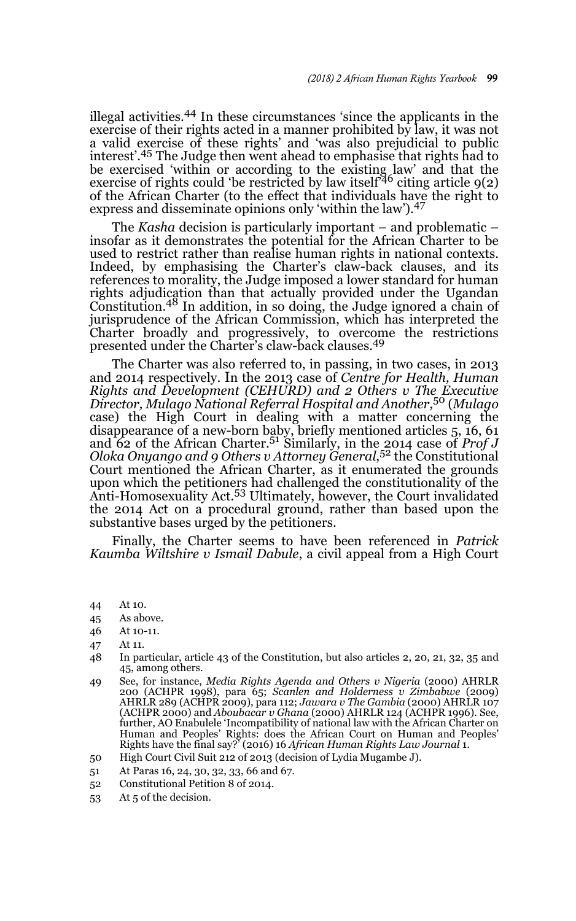illegal activities.44 In these circumstances 'since the applicants in the exercise of their rights acted in a manner prohibited by law, it was not a valid exercise of these rights' and 'was also prejudicial to public interest'.<sup>45</sup> The Judge then went ahead to emphasise that rights had to be exercised 'within or according to the existing law' and that the exercise of rights could 'be restricted by law itself<sup>46</sup> citing article  $9(2)$ of the African Charter (to the effect that individuals have the right to express and disseminate opinions only 'within the law').<sup>47</sup>

The *Kasha* decision is particularly important – and problematic – insofar as it demonstrates the potential for the African Charter to be used to restrict rather than realise human rights in national contexts. Indeed, by emphasising the Charter's claw-back clauses, and its references to morality, the Judge imposed a lower standard for human rights adjudication than that actually provided under the Ugandan Constitution.48 In addition, in so doing, the Judge ignored a chain of jurisprudence of the African Commission, which has interpreted the Charter broadly and progressively, to overcome the restrictions presented under the Charter's claw-back clauses.49

The Charter was also referred to, in passing, in two cases, in 2013 and 2014 respectively. In the 2013 case of *Centre for Health, Human Rights and Development (CEHURD) and 2 Others v The Executive Director, Mulago National Referral Hospital and Another,*50 (*Mulago* case) the High Court in dealing with a matter concerning the disappearance of a new-born baby, briefly mentioned articles 5, 16, 61 and 62 of the African Charter.51 Similarly, in the 2014 case of *Prof J Oloka Onyango and 9 Others v Attorney General*, 52 the Constitutional Court mentioned the African Charter, as it enumerated the grounds upon which the petitioners had challenged the constitutionality of the Anti-Homosexuality Act.<sup>53</sup> Ultimately, however, the Court invalidated the 2014 Act on a procedural ground, rather than based upon the substantive bases urged by the petitioners.

Finally, the Charter seems to have been referenced in *Patrick Kaumba Wiltshire v Ismail Dabule*, a civil appeal from a High Court

- 44 At 10.
- 45 As above.
- 46 At 10-11.
- 47 At 11.
- 48 In particular, article 43 of the Constitution, but also articles 2, 20, 21, 32, 35 and 45, among others.
- 49 See, for instance, *Media Rights Agenda and Others v Nigeria* (2000) AHRLR 200 (ACHPR 1998), para 65; *Scanlen and Holderness v Zimbabwe* (2009) AHRLR 289 (ACHPR 2009), para 112; *Jawara v The Gambia* (2000) AHRLR 107 (ACHPR 2000) and *Aboubacar v Ghana* (2000) AHRLR 124 (ACHPR 1996). See, further, AO Enabulele 'Incompatibility of national law with the African Charter on Human and Peoples' Rights: does the African Court on Human and Peoples' Rights have the final say?' (2016) 16 *African Human Rights Law Journal* 1.
- 50 High Court Civil Suit 212 of 2013 (decision of Lydia Mugambe J).
- 51 At Paras 16, 24, 30, 32, 33, 66 and 67.
- 52 Constitutional Petition 8 of 2014.
- 53 At 5 of the decision.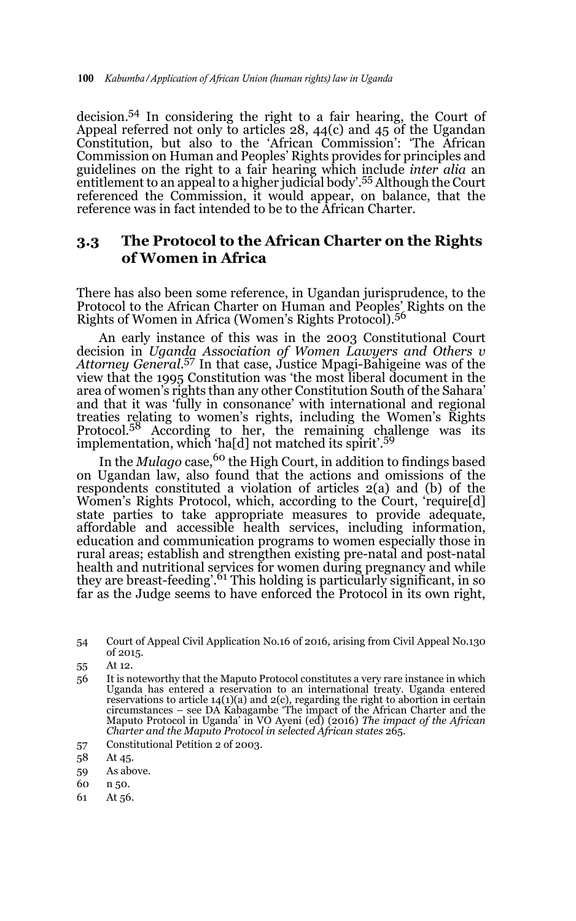decision.54 In considering the right to a fair hearing, the Court of Appeal referred not only to articles  $28$ ,  $44(c)$  and  $45$  of the Ugandan Constitution, but also to the 'African Commission': 'The African Commission on Human and Peoples' Rights provides for principles and guidelines on the right to a fair hearing which include *inter alia* an entitlement to an appeal to a higher judicial body'.55 Although the Court referenced the Commission, it would appear, on balance, that the reference was in fact intended to be to the African Charter.

### **3.3 The Protocol to the African Charter on the Rights of Women in Africa**

There has also been some reference, in Ugandan jurisprudence, to the Protocol to the African Charter on Human and Peoples' Rights on the Rights of Women in Africa (Women's Rights Protocol).<sup>56</sup>

An early instance of this was in the 2003 Constitutional Court decision in *Uganda Association of Women Lawyers and Others v Attorney General*. 57 In that case, Justice Mpagi-Bahigeine was of the view that the 1995 Constitution was 'the most liberal document in the area of women's rights than any other Constitution South of the Sahara' and that it was 'fully in consonance' with international and regional treaties relating to women's rights, including the Women's Rights<br>Protocol.<sup>58</sup> According to her, the remaining challenge was its implementation, which 'ha[d] not matched its spirit'.<sup>59</sup>

In the *Mulago* case,<sup>60</sup> the High Court, in addition to findings based on Ugandan law, also found that the actions and omissions of the respondents constituted a violation of articles 2(a) and (b) of the Women's Rights Protocol, which, according to the Court, 'require[d] state parties to take appropriate measures to provide adequate, affordable and accessible health services, including information, education and communication programs to women especially those in rural areas; establish and strengthen existing pre-natal and post-natal health and nutritional services for women during pregnancy and while they are breast-feeding'.61 This holding is particularly significant, in so far as the Judge seems to have enforced the Protocol in its own right,

57 Constitutional Petition 2 of 2003.

- 59 As above.
- 60 n 50.
- 61 At 56.

<sup>54</sup> Court of Appeal Civil Application No.16 of 2016, arising from Civil Appeal No.130 of 2015.

<sup>55</sup> At 12.

<sup>56</sup> It is noteworthy that the Maputo Protocol constitutes a very rare instance in which Uganda has entered a reservation to an international treaty. Uganda entered reservations to article 14(1)(a) and 2(c), regarding the right to abortion in certain circumstances – see DA Kabagambe 'The impact of the African Charter and the Maputo Protocol in Uganda' in VO Ayeni (ed) (2016) *The impact of the African Charter and the Maputo Protocol in selected African states* 265.

<sup>58</sup> At 45.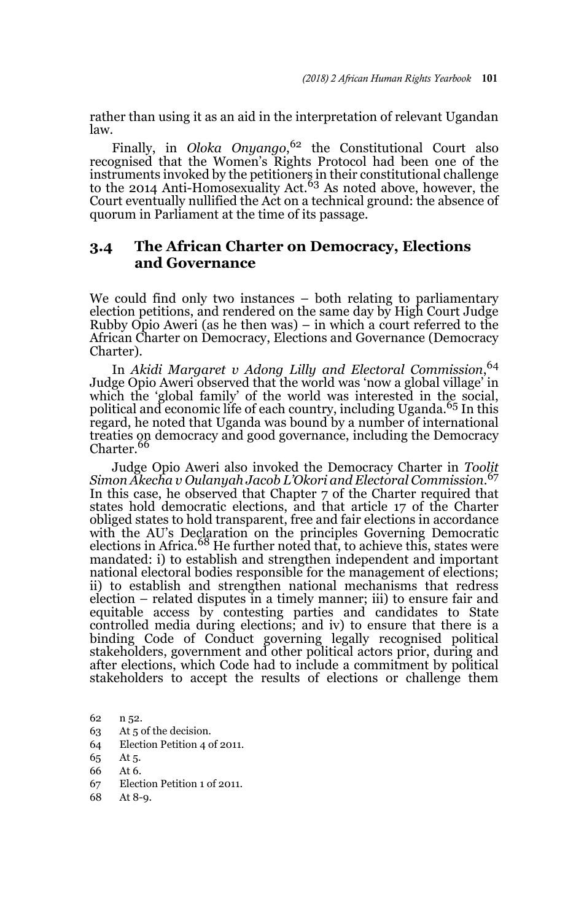rather than using it as an aid in the interpretation of relevant Ugandan law.

Finally, in *Oloka Onyango*, 62 the Constitutional Court also recognised that the Women's Rights Protocol had been one of the instruments invoked by the petitioners in their constitutional challenge to the 2014 Anti-Homosexuality Act.<sup>63</sup> As noted above, however, the Court eventually nullified the Act on a technical ground: the absence of quorum in Parliament at the time of its passage.

### **3.4 The African Charter on Democracy, Elections and Governance**

We could find only two instances – both relating to parliamentary election petitions, and rendered on the same day by High Court Judge Rubby Opio Aweri (as he then was) – in which a court referred to the African Charter on Democracy, Elections and Governance (Democracy Charter).

In *Akidi Margaret v Adong Lilly and Electoral Commission*, 64 Judge Opio Aweri observed that the world was 'now a global village' in which the 'global family' of the world was interested in the social, political and economic life of each country, including Uganda.<sup>65</sup> In this regard, he noted that Uganda was bound by a number of international treaties on democracy and good governance, including the Democracy<br>Charter.<sup>66</sup>

Judge Opio Aweri also invoked the Democracy Charter in *Toolit Simon Akecha v Oulanyah Jacob L'Okori and Electoral Commission*. 67 In this case, he observed that Chapter 7 of the Charter required that states hold democratic elections, and that article 17 of the Charter obliged states to hold transparent, free and fair elections in accordance with the AU's Declaration on the principles Governing Democratic<br>elections in Africa.<sup>68</sup> He further noted that, to achieve this, states were mandated: i) to establish and strengthen independent and important national electoral bodies responsible for the management of elections; ii) to establish and strengthen national mechanisms that redress election – related disputes in a timely manner; iii) to ensure fair and equitable access by contesting parties and candidates to State controlled media during elections; and iv) to ensure that there is a binding Code of Conduct governing legally recognised political stakeholders, government and other political actors prior, during and after elections, which Code had to include a commitment by political stakeholders to accept the results of elections or challenge them

- 63 At 5 of the decision.
- 64 Election Petition 4 of 2011.
- 65 At 5.
- 66 At 6.
- 67 Election Petition 1 of 2011.
- 68 At 8-9.

<sup>62</sup> n 52.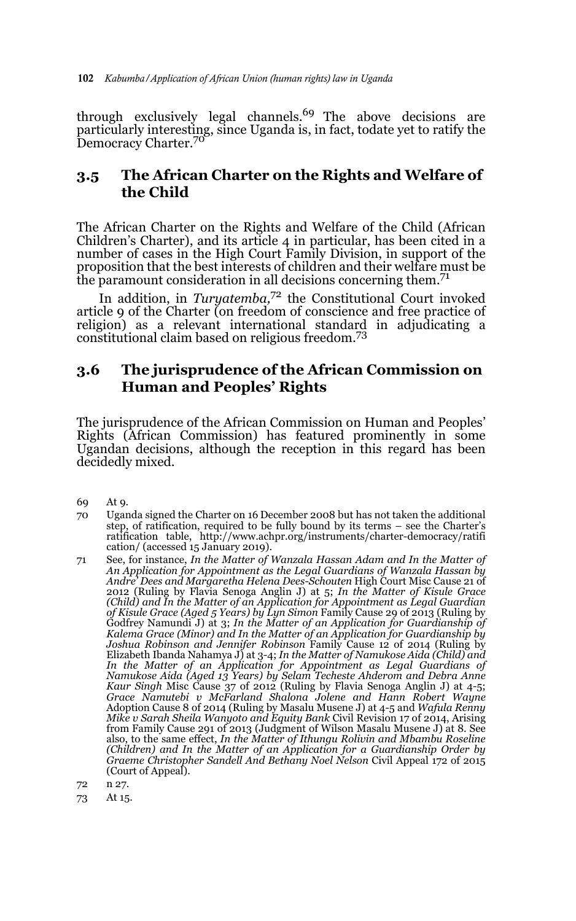through exclusively legal channels.<sup>69</sup> The above decisions are particularly interesting, since Uganda is, in fact, todate yet to ratify the Democracy Charter.<sup>70</sup>

### **3.5 The African Charter on the Rights and Welfare of the Child**

The African Charter on the Rights and Welfare of the Child (African Children's Charter), and its article 4 in particular, has been cited in a number of cases in the High Court Family Division, in support of the proposition that the best interests of children and their welfare must be the paramount consideration in all decisions concerning them.<sup>71</sup>

In addition, in *Turyatemba,*<sup>72</sup> the Constitutional Court invoked article 9 of the Charter (on freedom of conscience and free practice of religion) as a relevant international standard in adjudicating a constitutional claim based on religious freedom.<sup>73</sup>

## **3.6 The jurisprudence of the African Commission on Human and Peoples' Rights**

The jurisprudence of the African Commission on Human and Peoples' Rights (African Commission) has featured prominently in some Ugandan decisions, although the reception in this regard has been decidedly mixed.

- 69 At 9.
- 70 Uganda signed the Charter on 16 December 2008 but has not taken the additional step, of ratification, required to be fully bound by its terms – see the Charter's ratification table, http://www.achpr.org/instruments/charter-democracy/ratifi cation/ (accessed 15 January 2019).
- 71 See, for instance, *In the Matter of Wanzala Hassan Adam and In the Matter of An Application for Appointment as the Legal Guardians of Wanzala Hassan by Andre' Dees and Margaretha Helena Dees-Schouten* High Court Misc Cause 21 of 2012 (Ruling by Flavia Senoga Anglin J) at 5; *In the Matter of Kisule Grace (Child) and In the Matter of an Application for Appointment as Legal Guardian of Kisule Grace (Aged 5 Years) by Lyn Simon* Family Cause 29 of 2013 (Ruling by Godfrey Namundi J) at 3; *In the Matter of an Application for Guardianship of Kalema Grace (Minor) and In the Matter of an Application for Guardianship by Joshua Robinson and Jennifer Robinson* Family Cause 12 of 2014 (Ruling by Elizabeth Ibanda Nahamya J) at 3-4; *In the Matter of Namukose Aida (Child) and In the Matter of an Application for Appointment as Legal Guardians of Namukose Aida (Aged 13 Years) by Selam Techeste Ahderom and Debra Anne Kaur Singh* Misc Cause 37 of 2012 (Ruling by Flavia Senoga Anglin J) at 4-5; *Grace Namutebi v McFarland Shalona Jolene and Hann Robert Wayne* Adoption Cause 8 of 2014 (Ruling by Masalu Musene J) at 4-5 and *Wafula Renny Mike v Sarah Sheila Wanyoto and Equity Bank* Civil Revision 17 of 2014, Arising from Family Cause 291 of 2013 (Judgment of Wilson Masalu Musene J) at 8. See also, to the same effect, *In the Matter of Ithungu Rolivin and Mbambu Roseline (Children) and In the Matter of an Application for a Guardianship Order by Graeme Christopher Sandell And Bethany Noel Nelson* Civil Appeal 172 of 2015 (Court of Appeal).
- 72 n 27.
- 73 At 15.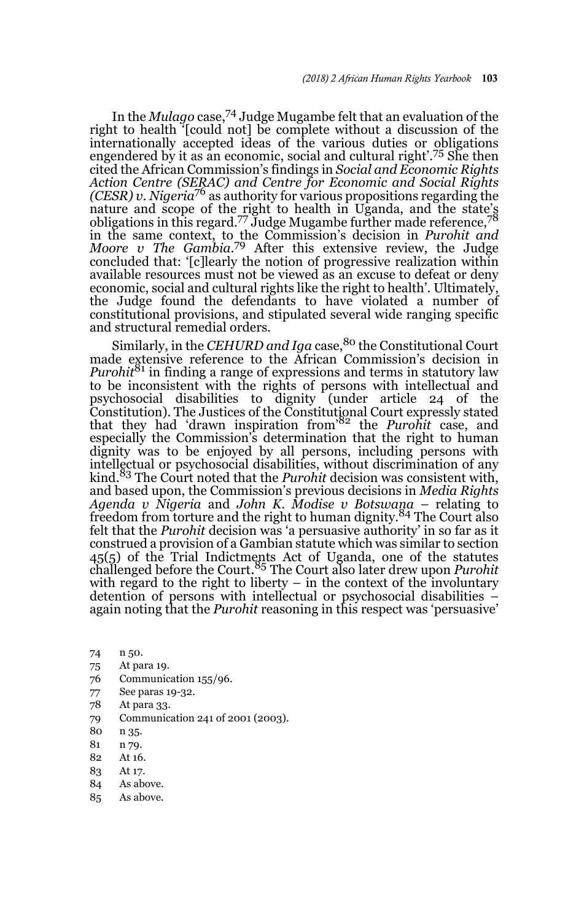In the *Mulago* case,74 Judge Mugambe felt that an evaluation of the right to health '[could not] be complete without a discussion of the internationally accepted ideas of the various duties or obligations engendered by it as an economic, social and cultural right'.<sup>75</sup> She then cited the African Commission's findings in *Social and Economic Rights Action Centre (SERAC) and Centre for Economic and Social Rights (CESR) v. Nigeria*76 as authority for various propositions regarding the nature and scope of the right to health in Uganda, and the state's<br>obligations in this regard.<sup>77</sup> Judge Mugambe further made reference,<sup>78</sup> in the same context, to the Commission's decision in *Purohit and Moore v The Gambia.*79 After this extensive review, the Judge concluded that: '[c]learly the notion of progressive realization within available resources must not be viewed as an excuse to defeat or deny economic, social and cultural rights like the right to health'. Ultimately, the Judge found the defendants to have violated a number of constitutional provisions, and stipulated several wide ranging specific and structural remedial orders.

Similarly, in the *CEHURD and Iga* case,<sup>80</sup> the Constitutional Court made extensive reference to the African Commission's decision in *Purohit*<sup>81</sup> in finding a range of expressions and terms in statutory law to be inconsistent with the rights of persons with intellectual and psychosocial disabilities to dignity (under article 24 of the Constitution). The Justices of the Constitutional Court expressly stated that they had 'drawn inspiration from'82 the *Purohit* case, and especially the Commission's determination that the right to human dignity was to be enjoyed by all persons, including persons with intellectual or psychosocial disabilities, without discrimination of any kind.83 The Court noted that the *Purohit* decision was consistent with, and based upon, the Commission's previous decisions in *Media Rights Agenda v Nigeria* and *John K. Modise v Botswana* – relating to freedom from torture and the right to human dignity.<sup>84</sup> The Court also felt that the *Purohit* decision was 'a persuasive authority' in so far as it construed a provision of a Gambian statute which was similar to section 45(5) of the Trial Indictments Act of Uganda, one of the statutes challenged before the Court. <sup>85</sup> The Court also later drew upon *Purohit* with regard to the right to liberty  $-$  in the context of the involuntary detention of persons with intellectual or psychosocial disabilities – again noting that the *Purohit* reasoning in this respect was 'persuasive'

- 74 n 50.
- 75 At para 19.
- 76 Communication 155/96.
- 77 See paras 19-32.
- 78 At para 33.
- 79 Communication 241 of 2001 (2003).
- 80 n 35.
- 81 n 79.
- 82 At 16.
- 83 At 17.
- 84 As above.
- 85 As above.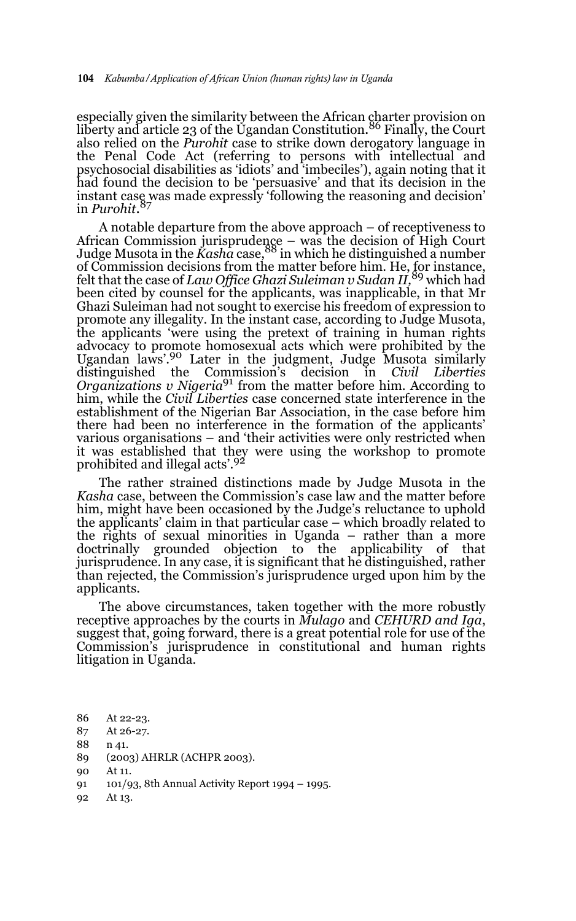especially given the similarity between the African charter provision on liberty and article 23 of the Ugandan Constitution. 86 Finally, the Court also relied on the *Purohit* case to strike down derogatory language in the Penal Code Act (referring to persons with intellectual and psychosocial disabilities as 'idiots' and 'imbeciles'), again noting that it had found the decision to be 'persuasive' and that its decision in the instant case was made expressly 'following the reasoning and decision' in *Purohit*. 87

A notable departure from the above approach – of receptiveness to African Commission jurisprudence – was the decision of High Court<br>Judge Musota in the *Kasha* case,<sup>88</sup> in which he distinguished a number of Commission decisions from the matter before him. He, for instance, felt that the case of *Law Office Ghazi Suleiman v Sudan II,*89 which had been cited by counsel for the applicants, was inapplicable, in that Mr Ghazi Suleiman had not sought to exercise his freedom of expression to promote any illegality. In the instant case, according to Judge Musota, the applicants 'were using the pretext of training in human rights advocacy to promote homosexual acts which were prohibited by the Ugandan laws'.<sup>90</sup> Later in the judgment, Judge Musota similarly distinguished the Commission's decision in *Civil Liberties* distinguished the Commission's decision in *Civil Liberties Organizations v Nigeria*91 from the matter before him. According to him, while the *Civil Liberties* case concerned state interference in the establishment of the Nigerian Bar Association, in the case before him there had been no interference in the formation of the applicants' various organisations – and 'their activities were only restricted when it was established that they were using the workshop to promote prohibited and illegal acts'.<sup>92</sup>

The rather strained distinctions made by Judge Musota in the *Kasha* case, between the Commission's case law and the matter before him, might have been occasioned by the Judge's reluctance to uphold the applicants' claim in that particular case – which broadly related to the rights of sexual minorities in Uganda – rather than a more doctrinally grounded objection to the applicability of that jurisprudence. In any case, it is significant that he distinguished, rather than rejected, the Commission's jurisprudence urged upon him by the applicants.

The above circumstances, taken together with the more robustly receptive approaches by the courts in *Mulago* and *CEHURD and Iga*, suggest that, going forward, there is a great potential role for use of the Commission's jurisprudence in constitutional and human rights litigation in Uganda.

- 86 At 22-23.
- 87 At 26-27.
- 88 n 41.
- 89 (2003) AHRLR (ACHPR 2003).
- 90 At 11.
- 91 101/93, 8th Annual Activity Report 1994 1995.
- 92 At 13.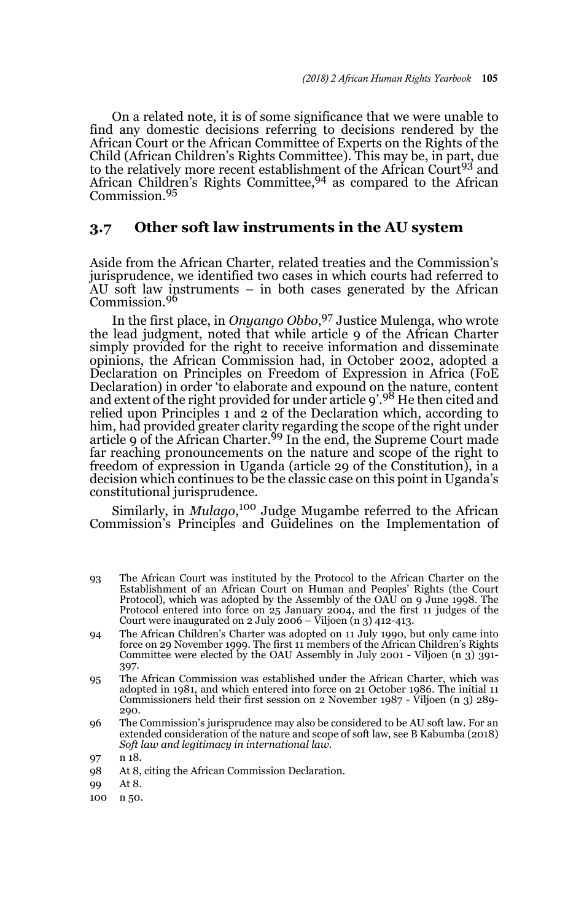On a related note, it is of some significance that we were unable to find any domestic decisions referring to decisions rendered by the African Court or the African Committee of Experts on the Rights of the Child (African Children's Rights Committee). This may be, in part, due to the relatively more recent establishment of the African Court<sup>93</sup> and African Children's Rights Committee,<sup>94</sup> as compared to the African Commission.<sup>95</sup>

### **3.7 Other soft law instruments in the AU system**

Aside from the African Charter, related treaties and the Commission's jurisprudence, we identified two cases in which courts had referred to AU soft law instruments – in both cases generated by the African Commission.<sup>96</sup>

In the first place, in *Onyango Obbo*, 97 Justice Mulenga, who wrote the lead judgment, noted that while article 9 of the African Charter simply provided for the right to receive information and disseminate opinions, the African Commission had, in October 2002, adopted a Declaration on Principles on Freedom of Expression in Africa (FoE Declaration) in order 'to elaborate and expound on the nature, content<br>and extent of the right provided for under article 9'.<sup>98</sup> He then cited and relied upon Principles 1 and 2 of the Declaration which, according to him, had provided greater clarity regarding the scope of the right under<br>article 9 of the African Charter.<sup>99</sup> In the end, the Supreme Court made far reaching pronouncements on the nature and scope of the right to freedom of expression in Uganda (article 29 of the Constitution), in a decision which continues to be the classic case on this point in Uganda's constitutional jurisprudence.

Similarly, in *Mulago*, 100 Judge Mugambe referred to the African Commission's Principles and Guidelines on the Implementation of

- 93 The African Court was instituted by the Protocol to the African Charter on the Establishment of an African Court on Human and Peoples' Rights (the Court Protocol), which was adopted by the Assembly of the OAU on 9 June 1998. The Protocol entered into force on 25 January 2004, and the first 11 judges of the Court were inaugurated on 2 July 2006 – Viljoen (n 3) 412-413.
- 94 The African Children's Charter was adopted on 11 July 1990, but only came into force on 29 November 1999. The first 11 members of the African Children's Rights Committee were elected by the OAU Assembly in July 2001 - Viljoen (n 3) 391- 397.
- 95 The African Commission was established under the African Charter, which was adopted in 1981, and which entered into force on 21 October 1986. The initial 11 Commissioners held their first session on 2 November 1987 - Viljoen (n 3) 289- 290.
- 96 The Commission's jurisprudence may also be considered to be AU soft law. For an extended consideration of the nature and scope of soft law, see B Kabumba (2018) *Soft law and legitimacy in international law.*

- 98 At 8, citing the African Commission Declaration.
- 99 At 8.
- 100 n 50.

<sup>97</sup> n 18.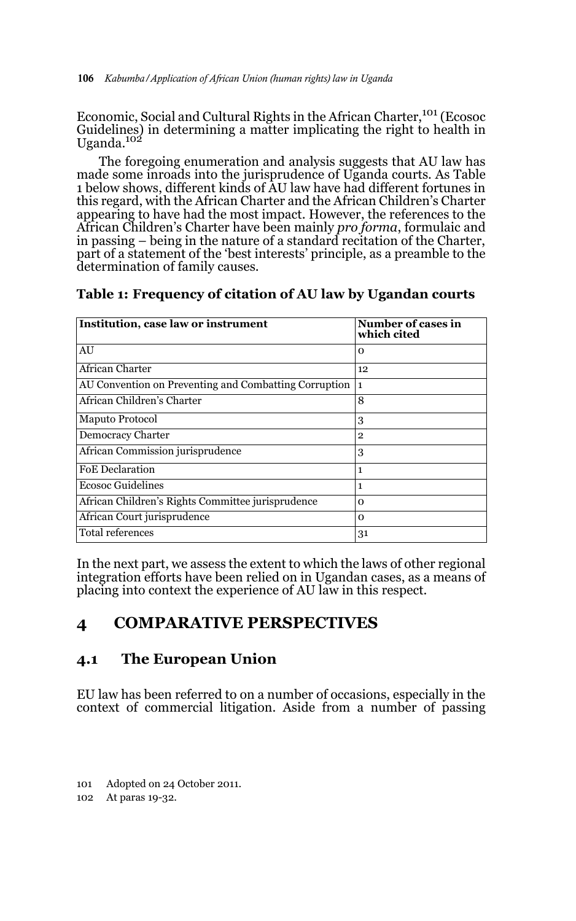Economic, Social and Cultural Rights in the African Charter,<sup>101</sup> (Ecosoc Guidelines) in determining a matter implicating the right to health in Uganda.102

The foregoing enumeration and analysis suggests that AU law has made some inroads into the jurisprudence of Uganda courts. As Table 1 below shows, different kinds of AU law have had different fortunes in this regard, with the African Charter and the African Children's Charter appearing to have had the most impact. However, the references to the African Children's Charter have been mainly *pro forma*, formulaic and in passing – being in the nature of a standard recitation of the Charter, part of a statement of the 'best interests' principle, as a preamble to the determination of family causes.

#### **Table 1: Frequency of citation of AU law by Ugandan courts**

| Institution, case law or instrument                   | Number of cases in<br>which cited |
|-------------------------------------------------------|-----------------------------------|
| AU                                                    | $\Omega$                          |
| African Charter                                       | 12                                |
| AU Convention on Preventing and Combatting Corruption | l 1                               |
| African Children's Charter                            | 8                                 |
| Maputo Protocol                                       | 3                                 |
| <b>Democracy Charter</b>                              | $\mathbf{2}$                      |
| African Commission jurisprudence                      | 3                                 |
| <b>FoE</b> Declaration                                | 1                                 |
| <b>Ecosoc Guidelines</b>                              | 1                                 |
| African Children's Rights Committee jurisprudence     | $\Omega$                          |
| African Court jurisprudence                           | $\Omega$                          |
| Total references                                      | 31                                |

In the next part, we assess the extent to which the laws of other regional integration efforts have been relied on in Ugandan cases, as a means of placing into context the experience of AU law in this respect.

## **4 COMPARATIVE PERSPECTIVES**

## **4.1 The European Union**

EU law has been referred to on a number of occasions, especially in the context of commercial litigation. Aside from a number of passing

101 Adopted on 24 October 2011.

102 At paras 19-32.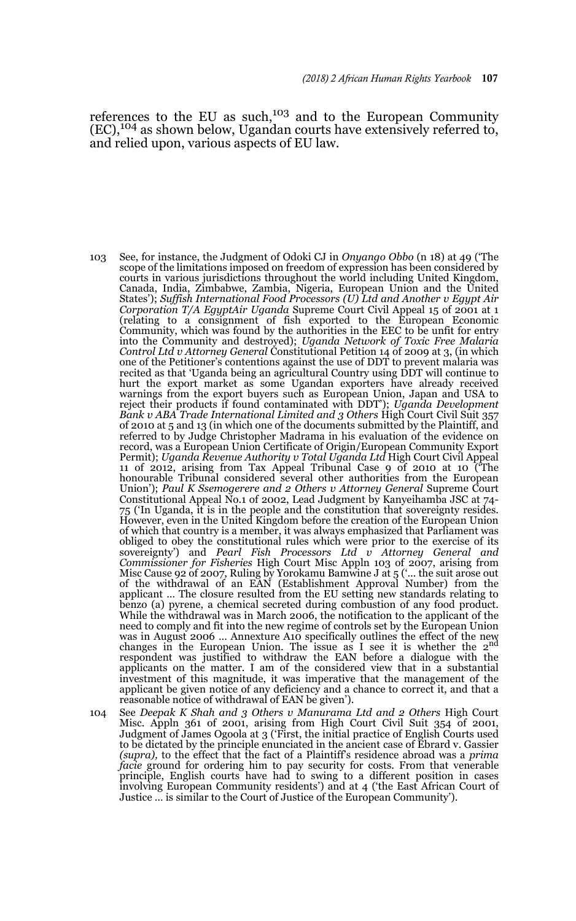references to the EU as such,<sup>103</sup> and to the European Community (EC),104 as shown below, Ugandan courts have extensively referred to, and relied upon, various aspects of EU law.

- 103 See, for instance, the Judgment of Odoki CJ in *Onyango Obbo* (n 18) at 49 ('The scope of the limitations imposed on freedom of expression has been considered by courts in various jurisdictions throughout the world including United Kingdom, Canada, India, Zimbabwe, Zambia, Nigeria, European Union and the United States'); *Suffish International Food Processors (U) Ltd and Another v Egypt Air Corporation T/A EgyptAir Uganda* Supreme Court Civil Appeal 15 of 2001 at 1 (relating to a consignment of fish exported to the European Economic Community, which was found by the authorities in the EEC to be unfit for entry into the Community and destroyed); *Uganda Network of Toxic Free Malaria Control Ltd v Attorney General* Constitutional Petition 14 of 2009 at 3, (in which one of the Petitioner's contentions against the use of DDT to prevent malaria was recited as that 'Uganda being an agricultural Country using DDT will continue to hurt the export market as some Ugandan exporters have already received warnings from the export buyers such as European Union, Japan and USA to reject their products if found contaminated with DDT'); *Uganda Development Bank v ABA Trade International Limited and 3 Others* High Court Civil Suit 357 of 2010 at 5 and 13 (in which one of the documents submitted by the Plaintiff, and referred to by Judge Christopher Madrama in his evaluation of the evidence on record, was a European Union Certificate of Origin/European Community Export Permit); *Uganda Revenue Authority v Total Uganda Ltd* High Court Civil Appeal 11 of 2012, arising from Tax Appeal Tribunal Case 9 of 2010 at 10 ('The<br>honourable Tribunal considered several other authorities from the European<br>Union'); *Paul K Ssemogerere and 2 Others v Attorney General* Supreme Court Constitutional Appeal No.1 of 2002, Lead Judgment by Kanyeihamba JSC at 74- 75 ('In Uganda, it is in the people and the constitution that sovereignty resides. However, even in the United Kingdom before the creation of the European Union of which that country is a member, it was always emphasized that Parliament was obliged to obey the constitutional rules which were prior to the exercise of its sovereignty') and *Pearl Fish Processors Ltd v Attorney General and Commissioner for Fisheries* High Court Misc Appln 103 of 2007, arising from Misc Cause 92 of 2007, Ruling by Yorokamu Bamwine J at 5 ('… the suit arose out of the withdrawal of an EAN (Establishment Approval Number) from the applicant … The closure resulted from the EU setting new standards relating to benzo (a) pyrene, a chemical secreted during combustion of any food product. While the withdrawal was in March 2006, the notification to the applicant of the need to comply and fit into the new regime of controls set by the European Union was in August 2006 ... Annexture A10 specifically outlines the effect of the new<br>changes in the European Union. The issue as I see it is whether the 2<sup>nd</sup> respondent was justified to withdraw the EAN before a dialogue with the applicants on the matter. I am of the considered view that in a substantial investment of this magnitude, it was imperative that the management of the applicant be given notice of any deficiency and a chance to correct it, and that a reasonable notice of withdrawal of EAN be given').
- 104 See *Deepak K Shah and 3 Others v Manurama Ltd and 2 Others* High Court Misc. Appln 361 of 2001, arising from High Court Civil Suit 354 of 2001, Judgment of James Ogoola at 3 ('First, the initial practice of English Courts used to be dictated by the principle enunciated in the ancient case of Ebrard v. Gassier *(supra),* to the effect that the fact of a Plaintiff's residence abroad was a *prima facie* ground for ordering him to pay security for costs. From that venerable principle, English courts have had to swing to a different position in cases involving European Community residents') and at 4 ('the East African Court of Justice … is similar to the Court of Justice of the European Community').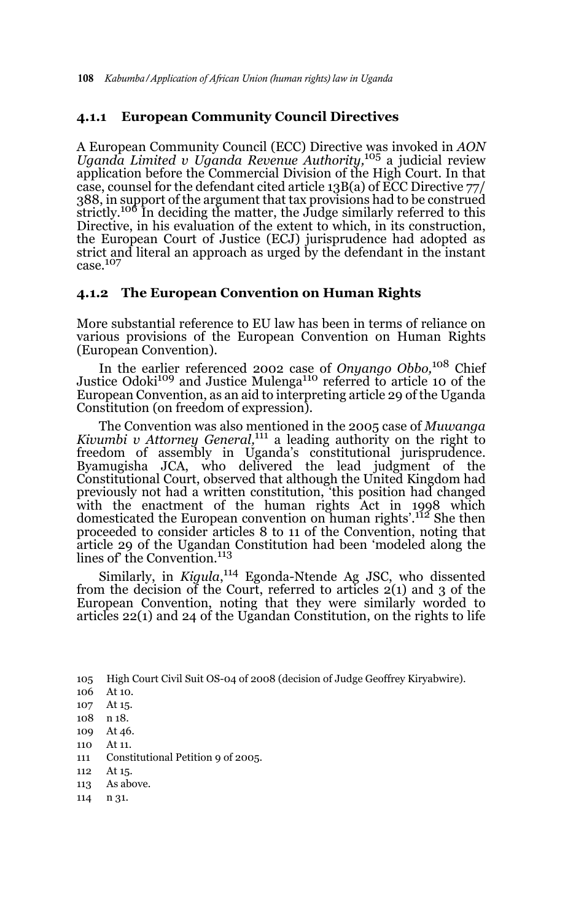#### **4.1.1 European Community Council Directives**

A European Community Council (ECC) Directive was invoked in *AON Uganda Limited v Uganda Revenue Authority,*<sup>105</sup> a judicial review application before the Commercial Division of the High Court. In that case, counsel for the defendant cited article 13B(a) of ECC Directive 77/ 388, in support of the argument that tax provisions had to be construed strictly.<sup>106</sup> In deciding the matter, the Judge similarly referred to this Directive, in his evaluation of the extent to which, in its construction, the European Court of Justice (ECJ) jurisprudence had adopted as strict and literal an approach as urged by the defendant in the instant case.<sup>107</sup>

#### **4.1.2 The European Convention on Human Rights**

More substantial reference to EU law has been in terms of reliance on various provisions of the European Convention on Human Rights (European Convention).

In the earlier referenced 2002 case of *Onyango Obbo,*108 Chief Justice Odoki<sup>109</sup> and Justice Mulenga<sup>110</sup> referred to article 10 of the European Convention, as an aid to interpreting article 29 of the Uganda Constitution (on freedom of expression).

The Convention was also mentioned in the 2005 case of *Muwanga Kivumbi v Attorney General*,<sup>111</sup> a leading authority on the right to freedom of assembly in Uganda's constitutional jurisprudence. Byamugisha JCA, who delivered the lead judgment of the Constitutional Court, observed that although the United Kingdom had previously not had a written constitution, 'this position had changed with the enactment of the human rights Act in 1998 which domesticated the European convention on human rights'.<sup>112</sup> She then proceeded to consider articles 8 to 11 of the Convention, noting that article 29 of the Ugandan Constitution had been 'modeled along the<br>lines of the Convention.<sup>113</sup>

Similarly, in *Kigula*,<sup>114</sup> Egonda-Ntende Ag JSC, who dissented from the decision of the Court, referred to articles 2(1) and 3 of the European Convention, noting that they were similarly worded to articles 22(1) and 24 of the Ugandan Constitution, on the rights to life

105 High Court Civil Suit OS-04 of 2008 (decision of Judge Geoffrey Kiryabwire).

- 106 At 10.
- 107 At 15.
- 108 n 18.
- 109 At 46.
- 110 At 11.
- 111 Constitutional Petition 9 of 2005.
- 112 At 15.
- 113 As above.
- 114 n 31.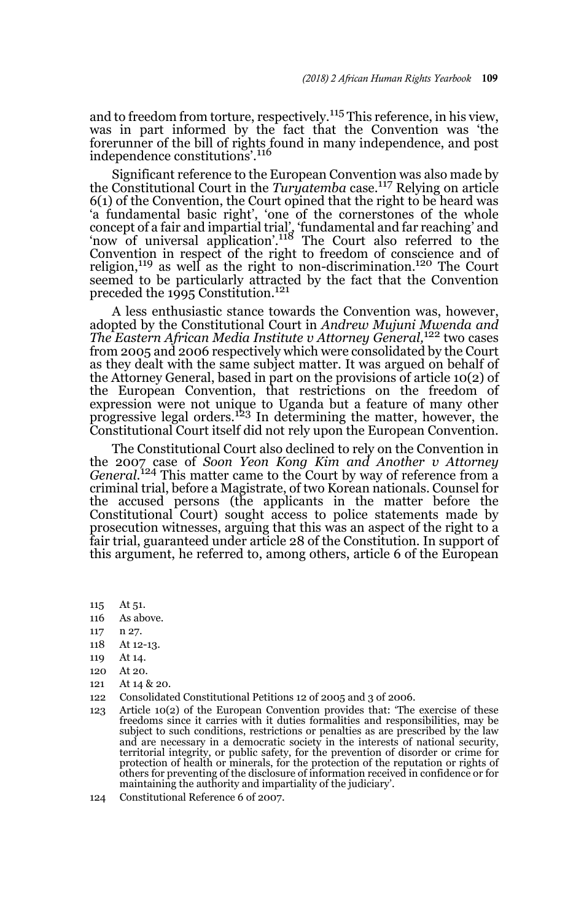and to freedom from torture, respectively.115 This reference, in his view, was in part informed by the fact that the Convention was 'the forerunner of the bill of rights found in many independence, and post independence constitutions'.<sup>116</sup>

Significant reference to the European Convention was also made by the Constitutional Court in the *Turyatemba* case.<sup>117</sup> Relying on article 6(1) of the Convention, the Court opined that the right to be heard was 'a fundamental basic right', 'one of the cornerstones of the whole concept of a fair and impartial trial', 'fundamental and far reaching' and 'now of universal application'.118 The Court also referred to the Convention in respect of the right to freedom of conscience and of religion,<sup>119</sup> as well as the right to non-discrimination.<sup>120</sup> The Court seemed to be particularly attracted by the fact that the Convention preceded the 1995 Constitution.<sup>121</sup>

A less enthusiastic stance towards the Convention was, however, adopted by the Constitutional Court in *Andrew Mujuni Mwenda and The Eastern African Media Institute v Attorney General,*<sup>122</sup> two cases from 2005 and 2006 respectively which were consolidated by the Court as they dealt with the same subject matter. It was argued on behalf of the Attorney General, based in part on the provisions of article 10(2) of the European Convention, that restrictions on the freedom of expression were not unique to Uganda but a feature of many other progressive legal orders.<sup>123</sup> In determining the matter, however, the Constitutional Court itself did not rely upon the European Convention.

The Constitutional Court also declined to rely on the Convention in the 2007 case of *Soon Yeon Kong Kim and Another v Attorney General*. 124 This matter came to the Court by way of reference from a criminal trial, before a Magistrate, of two Korean nationals. Counsel for the accused persons (the applicants in the matter before the Constitutional Court) sought access to police statements made by prosecution witnesses, arguing that this was an aspect of the right to a fair trial, guaranteed under article 28 of the Constitution. In support of this argument, he referred to, among others, article 6 of the European

- 115 At 51.
- 116 As above.
- 117 n 27.
- 118 At 12-13.
- 119 At 14.
- 120 At 20.
- 121 At 14 & 20.
- 122 Consolidated Constitutional Petitions 12 of 2005 and 3 of 2006.
- 123 Article 10(2) of the European Convention provides that: 'The exercise of these freedoms since it carries with it duties formalities and responsibilities, may be subject to such conditions, restrictions or penalties as are prescribed by the law and are necessary in a democratic society in the interests of national security, territorial integrity, or public safety, for the prevention of disorder or crime for protection of health or minerals, for the protection of the reputation or rights of others for preventing of the disclosure of information received in confidence or for maintaining the authority and impartiality of the judiciary'.
- 124 Constitutional Reference 6 of 2007.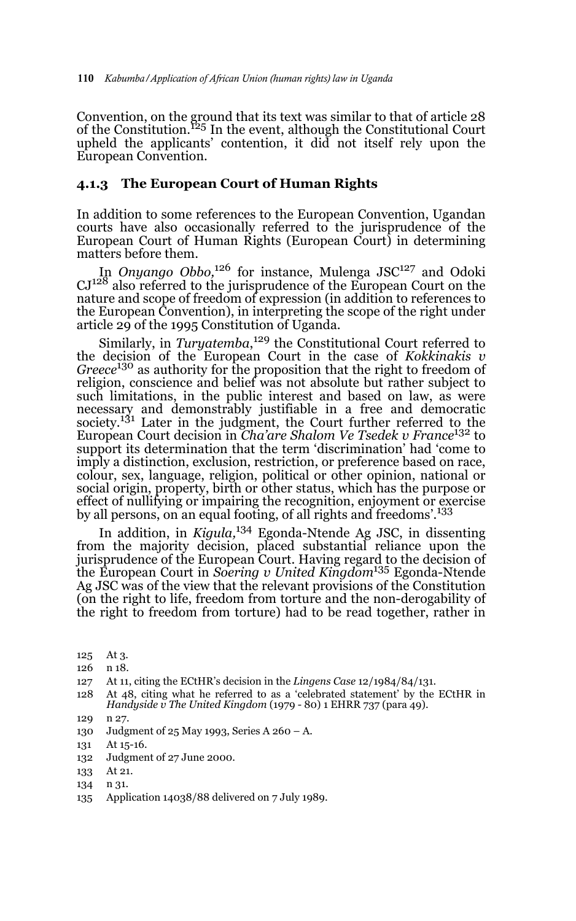Convention, on the ground that its text was similar to that of article 28 of the Constitution.125 In the event, although the Constitutional Court upheld the applicants' contention, it did not itself rely upon the European Convention.

#### **4.1.3 The European Court of Human Rights**

In addition to some references to the European Convention, Ugandan courts have also occasionally referred to the jurisprudence of the European Court of Human Rights (European Court) in determining matters before them.

In *Onyango Obbo,*126 for instance, Mulenga JSC127 and Odoki CJ128 also referred to the jurisprudence of the European Court on the nature and scope of freedom of expression (in addition to references to the European Convention), in interpreting the scope of the right under article 29 of the 1995 Constitution of Uganda.

Similarly, in *Turyatemba*, 129 the Constitutional Court referred to the decision of the European Court in the case of *Kokkinakis v Greece*<sup>130</sup> as authority for the proposition that the right to freedom of religion, conscience and belief was not absolute but rather subject to such limitations, in the public interest and based on law, as were necessary and demonstrably justifiable in a free and democratic society.131 Later in the judgment, the Court further referred to the European Court decision in *Cha'are Shalom Ve Tsedek v France*<sup>132</sup> to support its determination that the term 'discrimination' had 'come to imply a distinction, exclusion, restriction, or preference based on race, colour, sex, language, religion, political or other opinion, national or social origin, property, birth or other status, which has the purpose or effect of nullifying or impairing the recognition, enjoyment or exercise by all persons, on an equal footing, of all rights and freedoms'.133

In addition, in *Kigula,*<sup>134</sup> Egonda-Ntende Ag JSC, in dissenting from the majority decision, placed substantial reliance upon the jurisprudence of the European Court. Having regard to the decision of the European Court in *Soering v United Kingdom*135 Egonda-Ntende Ag JSC was of the view that the relevant provisions of the Constitution (on the right to life, freedom from torture and the non-derogability of the right to freedom from torture) had to be read together, rather in

- 125 At 3.
- 126 n 18.

- 128 At 48, citing what he referred to as a 'celebrated statement' by the ECtHR in *Handyside v The United Kingdom* (1979 - 80) 1 EHRR 737 (para 49).
- 129 n 27.
- 130 Judgment of 25 May 1993, Series A 260 A.
- 131 At 15-16.
- 132 Judgment of 27 June 2000.
- 133 At 21.
- 134 n 31.
- 135 Application 14038/88 delivered on 7 July 1989.

<sup>127</sup> At 11, citing the ECtHR's decision in the *Lingens Case* 12/1984/84/131.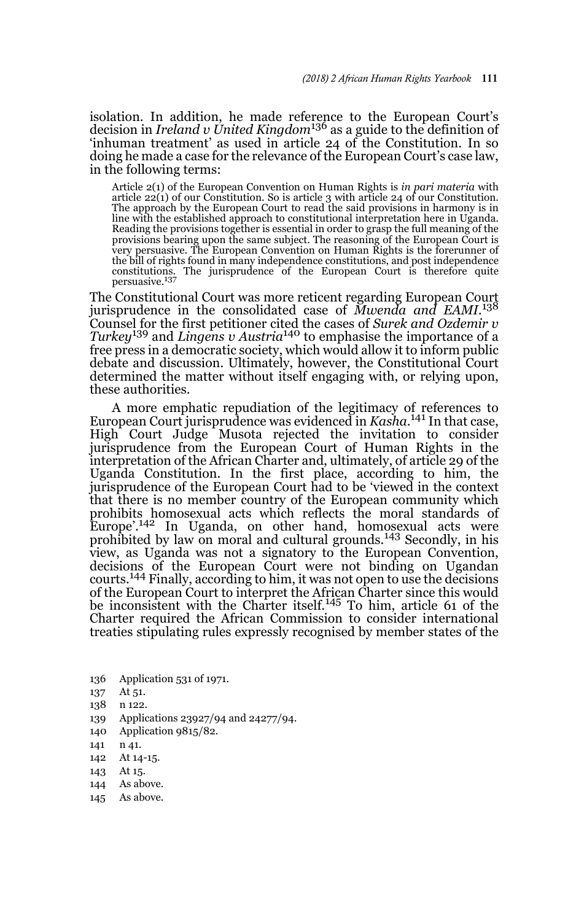isolation. In addition, he made reference to the European Court's decision in *Ireland v United Kingdom*<sup>136</sup> as a guide to the definition of 'inhuman treatment' as used in article 24 of the Constitution. In so doing he made a case for the relevance of the European Court's case law, in the following terms:

Article 2(1) of the European Convention on Human Rights is *in pari materia* with article 22(1) of our Constitution. So is article 3 with article 24 of our Constitution. The approach by the European Court to read the said provisions in harmony is in line with the established approach to constitutional interpretation here in Uganda. Reading the provisions together is essential in order to grasp the full meaning of the provisions bearing upon the same subject. The reasoning of the European Court is very persuasive. The European Convention on Human Rights is the forerunner of the bill of rights found in many independence constitutions, and post independence constitutions. The jurisprudence of the European Court is therefore quite persuasive.<sup>137</sup>

The Constitutional Court was more reticent regarding European Court jurisprudence in the consolidated case of *Mwenda and EAMI.*<sup>138</sup> Counsel for the first petitioner cited the cases of *Surek and Ozdemir v Turkey*139 and *Lingens v Austria*140 to emphasise the importance of a free press in a democratic society, which would allow it to inform public debate and discussion. Ultimately, however, the Constitutional Court determined the matter without itself engaging with, or relying upon, these authorities.

A more emphatic repudiation of the legitimacy of references to European Court jurisprudence was evidenced in *Kasha*. 141 In that case, High Court Judge Musota rejected the invitation to consider jurisprudence from the European Court of Human Rights in the interpretation of the African Charter and, ultimately, of article 29 of the Uganda Constitution. In the first place, according to him, the jurisprudence of the European Court had to be 'viewed in the context that there is no member country of the European community which prohibits homosexual acts which reflects the moral standards of Europe'.142 In Uganda, on other hand, homosexual acts were prohibited by law on moral and cultural grounds.<sup>143</sup> Secondly, in his view, as Uganda was not a signatory to the European Convention, decisions of the European Court were not binding on Ugandan courts.144 Finally, according to him, it was not open to use the decisions of the European Court to interpret the African Charter since this would be inconsistent with the Charter itself.145 To him, article 61 of the Charter required the African Commission to consider international treaties stipulating rules expressly recognised by member states of the

- 136 Application 531 of 1971.
- 137 At 51.
- 138 n 122.
- 139 Applications 23927/94 and 24277/94.
- 140 Application 9815/82.
- 141 n 41.
- 142 At 14-15.
- 143 At 15.
- 144 As above.
- 145 As above.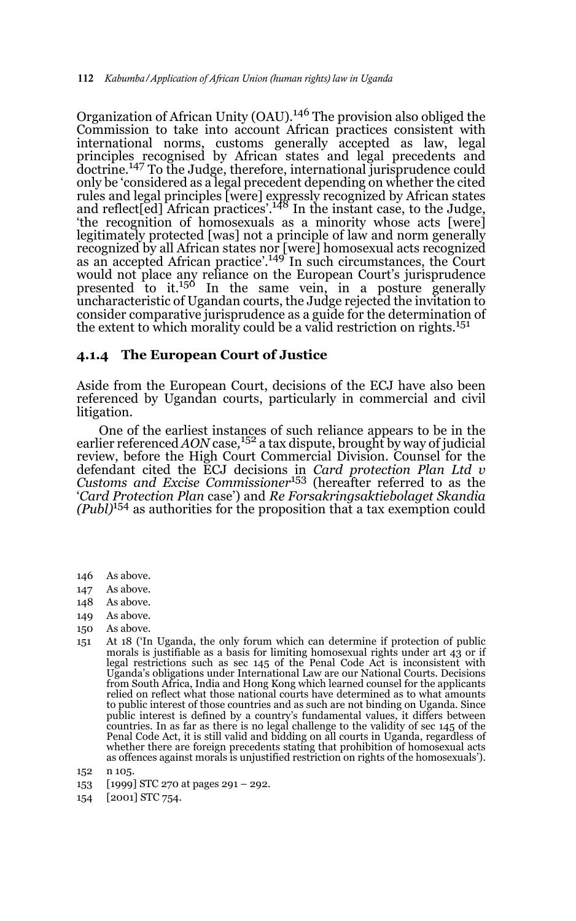Organization of African Unity (OAU).146 The provision also obliged the Commission to take into account African practices consistent with international norms, customs generally accepted as law, legal principles recognised by African states and legal precedents and doctrine.<sup>147</sup> To the Judge, therefore, international jurisprudence could only be 'considered as a legal precedent depending on whether the cited rules and legal principles [were] expressly recognized by African states<br>and reflect[ed] African practices'.<sup>148</sup> In the instant case, to the Judge, 'the recognition of homosexuals as a minority whose acts [were] legitimately protected [was] not a principle of law and norm generally recognized by all African states nor [were] homosexual acts recognized as an accepted African practice'.149 In such circumstances, the Court would not place any reliance on the European Court's jurisprudence presented to it.150 In the same vein, in a posture generally uncharacteristic of Ugandan courts, the Judge rejected the invitation to consider comparative jurisprudence as a guide for the determination of the extent to which morality could be a valid restriction on rights.<sup>151</sup>

#### **4.1.4 The European Court of Justice**

Aside from the European Court, decisions of the ECJ have also been referenced by Ugandan courts, particularly in commercial and civil litigation.

One of the earliest instances of such reliance appears to be in the earlier referenced *AON* case*,* <sup>152</sup> a tax dispute, brought by way of judicial review, before the High Court Commercial Division. Counsel for the defendant cited the ECJ decisions in *Card protection Plan Ltd v Customs and Excise Commissioner*<sup>153</sup> (hereafter referred to as the '*Card Protection Plan* case') and *Re Forsakringsaktiebolaget Skandia (Publ)*<sup>154</sup> as authorities for the proposition that a tax exemption could

- 146 As above.
- 147 As above.
- 148 As above.
- 149 As above.
- 150 As above.
- 151 At 18 ('In Uganda, the only forum which can determine if protection of public morals is justifiable as a basis for limiting homosexual rights under art 43 or if legal restrictions such as sec 145 of the Penal Code Act is inconsistent with Uganda's obligations under International Law are our National Courts. Decisions from South Africa, India and Hong Kong which learned counsel for the applicants relied on reflect what those national courts have determined as to what amounts to public interest of those countries and as such are not binding on Uganda. Since public interest is defined by a country's fundamental values, it differs between countries. In as far as there is no legal challenge to the validity of sec 145 of the Penal Code Act, it is still valid and bidding on all courts in Uganda, regardless of whether there are foreign precedents stating that prohibition of homosexual acts as offences against morals is unjustified restriction on rights of the homosexuals').
- 152 n 105.
- 153 [1999] STC 270 at pages 291 292.
- 154 [2001] STC 754.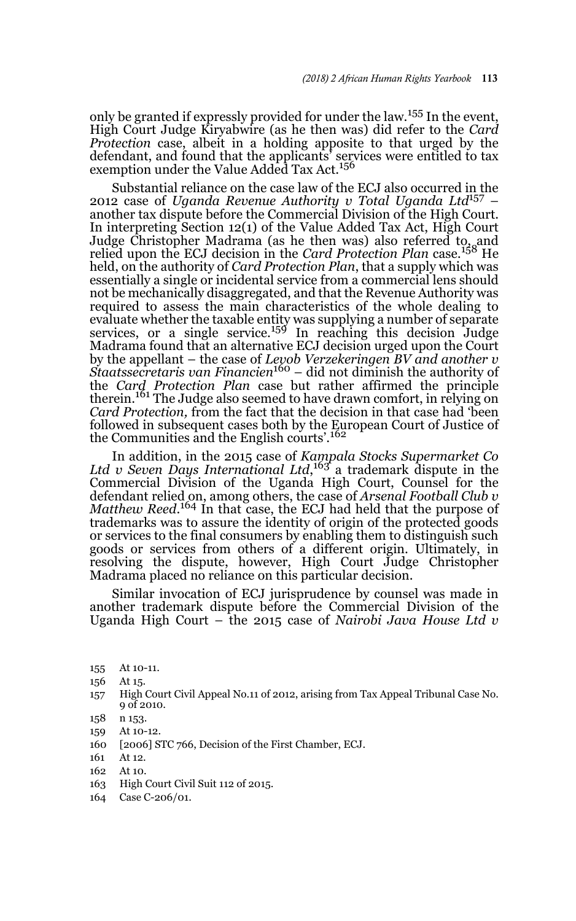only be granted if expressly provided for under the law.155 In the event, High Court Judge Kiryabwire (as he then was) did refer to the *Card Protection* case, albeit in a holding apposite to that urged by the defendant, and found that the applicants' services were entitled to tax exemption under the Value Added Tax Act.<sup>156</sup>

Substantial reliance on the case law of the ECJ also occurred in the 2012 case of *Uganda Revenue Authority v Total Uganda Ltd*157 – another tax dispute before the Commercial Division of the High Court. In interpreting Section 12(1) of the Value Added Tax Act, High Court Judge Christopher Madrama (as he then was) also referred to, and relied upon the ECJ decision in the *Card Protection Plan* case*.* 158 He held, on the authority of *Card Protection Plan*, that a supply which was essentially a single or incidental service from a commercial lens should not be mechanically disaggregated, and that the Revenue Authority was required to assess the main characteristics of the whole dealing to evaluate whether the taxable entity was supplying a number of separate<br>services, or a single service.<sup>159</sup> In reaching this decision Judge Madrama found that an alternative ECJ decision urged upon the Court by the appellant – the case of *Levob Verzekeringen BV and another v Staatssecretaris van Financien*160 – did not diminish the authority of the *Card Protection Plan* case but rather affirmed the principle therein.<sup>161</sup> The Judge also seemed to have drawn comfort, in relying on *Card Protection,* from the fact that the decision in that case had 'been followed in subsequent cases both by the European Court of Justice of the Communities and the English courts'.<sup>162</sup>

In addition, in the 2015 case of *Kampala Stocks Supermarket Co* Ltd v Seven Days International Ltd,<sup>163</sup> a trademark dispute in the Commercial Division of the Uganda High Court, Counsel for the defendant relied on, among others, the case of *Arsenal Football Club v Matthew Reed*. 164 In that case, the ECJ had held that the purpose of trademarks was to assure the identity of origin of the protected goods or services to the final consumers by enabling them to distinguish such goods or services from others of a different origin. Ultimately, in resolving the dispute, however, High Court Judge Christopher Madrama placed no reliance on this particular decision.

Similar invocation of ECJ jurisprudence by counsel was made in another trademark dispute before the Commercial Division of the Uganda High Court – the 2015 case of *Nairobi Java House Ltd v*

- 156 At 15.
- 157 High Court Civil Appeal No.11 of 2012, arising from Tax Appeal Tribunal Case No. 9 of 2010.
- 158 n 153.
- 159 At 10-12.
- 160 [2006] STC 766, Decision of the First Chamber, ECJ.
- 161 At 12.
- 162 At 10.
- 163 High Court Civil Suit 112 of 2015.
- 164 Case C-206/01.

<sup>155</sup> At 10-11.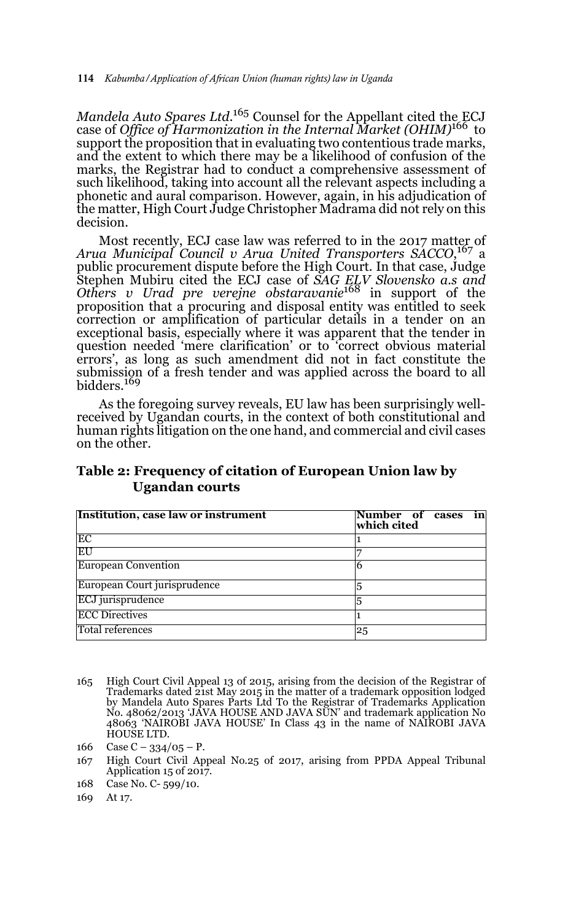*Mandela Auto Spares Ltd.*<sup>165</sup> Counsel for the Appellant cited the ECJ case of *Office of Harmonization in the Internal Market (OHIM)*<sup>166</sup> to support the proposition that in evaluating two contentious trade marks, and the extent to which there may be a likelihood of confusion of the marks, the Registrar had to conduct a comprehensive assessment of such likelihood, taking into account all the relevant aspects including a phonetic and aural comparison. However, again, in his adjudication of the matter, High Court Judge Christopher Madrama did not rely on this decision.

Most recently, ECJ case law was referred to in the 2017 matter of *Arua Municipal Council v Arua United Transporters SACCO*, 167 a public procurement dispute before the High Court. In that case, Judge Stephen Mubiru cited the ECJ case of *SAG ELV Slovensko a.s and Others v Urad pre verejne obstaravanie*<sup>168</sup> in support of the proposition that a procuring and disposal entity was entitled to seek correction or amplification of particular details in a tender on an exceptional basis, especially where it was apparent that the tender in question needed 'mere clarification' or to 'correct obvious material errors', as long as such amendment did not in fact constitute the submission of a fresh tender and was applied across the board to all bidders.169

As the foregoing survey reveals, EU law has been surprisingly wellreceived by Ugandan courts, in the context of both constitutional and human rights litigation on the one hand, and commercial and civil cases on the other.

| Institution, case law or instrument | in<br>Number of cases<br>which cited |
|-------------------------------------|--------------------------------------|
| EC                                  |                                      |
| EU                                  |                                      |
| <b>European Convention</b>          |                                      |
| European Court jurisprudence        |                                      |
| ECJ jurisprudence                   |                                      |
| <b>ECC Directives</b>               |                                      |
| Total references                    | 25                                   |

### **Table 2: Frequency of citation of European Union law by Ugandan courts**

- 165 High Court Civil Appeal 13 of 2015, arising from the decision of the Registrar of Trademarks dated 21st May 2015 in the matter of a trademark opposition lodged by Mandela Auto Spares Parts Ltd To the Registrar of Trademarks Application No. 48062/2013 'JAVA HOUSE AND JAVA SUN' and trademark application No 48063 'NAIROBI JAVA HOUSE' In Class 43 in the name of NAIROBI JAVA HOUSE LTD.
- 166 Case C  $334/05$  P.
- 167 High Court Civil Appeal No.25 of 2017, arising from PPDA Appeal Tribunal Application 15 of 2017.
- 168 Case No. C- 599/10.

169 At 17.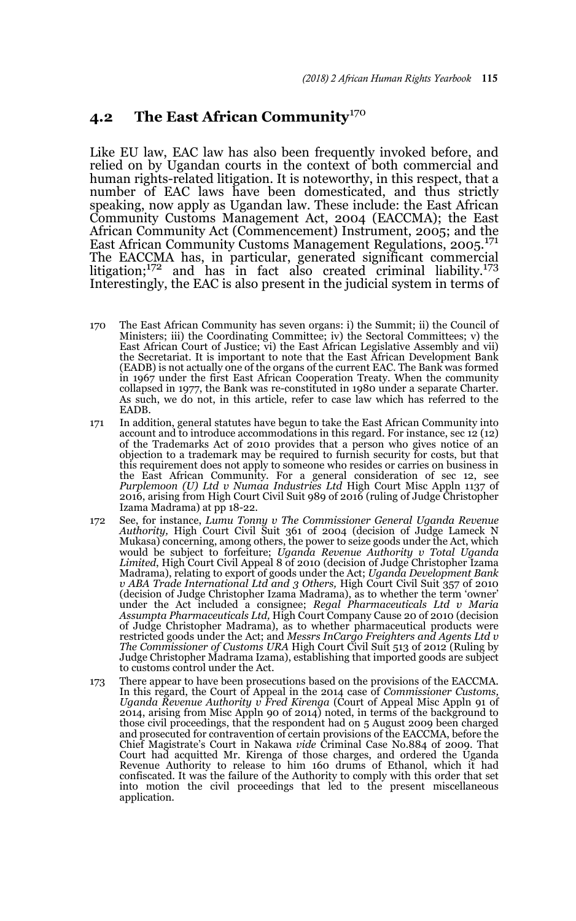## **4.2** The East African Community<sup>170</sup>

Like EU law, EAC law has also been frequently invoked before, and relied on by Ugandan courts in the context of both commercial and human rights-related litigation. It is noteworthy, in this respect, that a number of EAC laws have been domesticated, and thus strictly speaking, now apply as Ugandan law. These include: the East African Community Customs Management Act, 2004 (EACCMA); the East African Community Act (Commencement) Instrument, 2005; and the East African Community Customs Management Regulations, 2005.<sup>171</sup> The EACCMA has, in particular, generated significant commercial litigation;<sup>172</sup> and has in fact also created criminal liability.<sup>173</sup> Interestingly, the EAC is also present in the judicial system in terms of

- 170 The East African Community has seven organs: i) the Summit; ii) the Council of Ministers; iii) the Coordinating Committee; iv) the Sectoral Committees; v) the East African Court of Justice; vi) the East African Legislative Assembly and vii) the Secretariat. It is important to note that the East African Development Bank (EADB) is not actually one of the organs of the current EAC. The Bank was formed in 1967 under the first East African Cooperation Treaty. When the community collapsed in 1977, the Bank was re-constituted in 1980 under a separate Charter. As such, we do not, in this article, refer to case law which has referred to the EADB.
- 171 In addition, general statutes have begun to take the East African Community into account and to introduce accommodations in this regard. For instance, sec 12 (12) of the Trademarks Act of 2010 provides that a person who gives notice of an objection to a trademark may be required to furnish security for costs, but that this requirement does not apply to someone who resides or carries on business in the East African Community. For a general consideration of sec 12, see *Purplemoon (U) Ltd v Numaa Industries Ltd* High Court Misc Appln 1137 of 2016, arising from High Court Civil Suit 989 of 2016 (ruling of Judge Christopher Izama Madrama) at pp 18-22.
- 172 See, for instance, *Lumu Tonny v The Commissioner General Uganda Revenue Authority,* High Court Civil Suit 361 of 2004 (decision of Judge Lameck N Mukasa) concerning, among others, the power to seize goods under the Act, which would be subject to forfeiture; *Uganda Revenue Authority v Total Uganda Limited*, High Court Civil Appeal 8 of 2010 (decision of Judge Christopher Izama Madrama), relating to export of goods under the Act; *Uganda Development Bank v ABA Trade International Ltd and 3 Others,* High Court Civil Suit 357 of 2010 (decision of Judge Christopher Izama Madrama), as to whether the term 'owner' under the Act included a consignee; *Regal Pharmaceuticals Ltd v Maria Assumpta Pharmaceuticals Ltd,* High Court Company Cause 20 of 2010 (decision of Judge Christopher Madrama), as to whether pharmaceutical products were restricted goods under the Act; and *Messrs InCargo Freighters and Agents Ltd v The Commissioner of Customs URA* High Court Civil Suit 513 of 2012 (Ruling by Judge Christopher Madrama Izama), establishing that imported goods are subject to customs control under the Act.
- 173 There appear to have been prosecutions based on the provisions of the EACCMA. In this regard, the Court of Appeal in the 2014 case of *Commissioner Customs, Uganda Revenue Authority v Fred Kirenga* (Court of Appeal Misc Appln 91 of 2014, arising from Misc Appln 90 of 2014) noted, in terms of the background to those civil proceedings, that the respondent had on 5 August 2009 been charged and prosecuted for contravention of certain provisions of the EACCMA, before the Chief Magistrate's Court in Nakawa *vide* Criminal Case No.884 of 2009. That Court had acquitted Mr. Kirenga of those charges, and ordered the Uganda Revenue Authority to release to him 160 drums of Ethanol, which it had confiscated. It was the failure of the Authority to comply with this order that set into motion the civil proceedings that led to the present miscellaneous application.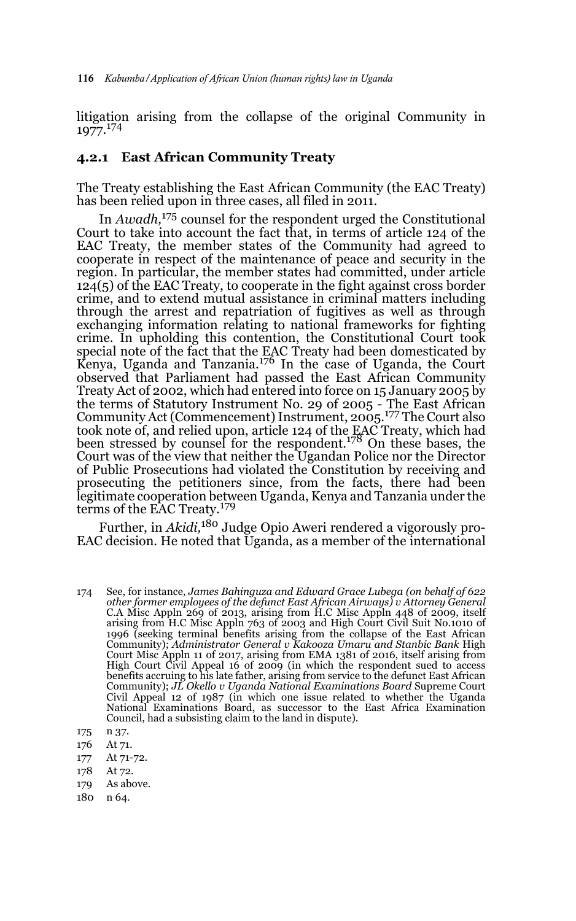litigation arising from the collapse of the original Community in 1977.<sup>174</sup>

#### **4.2.1 East African Community Treaty**

The Treaty establishing the East African Community (the EAC Treaty) has been relied upon in three cases, all filed in 2011.

In *Awadh,*175 counsel for the respondent urged the Constitutional Court to take into account the fact that, in terms of article 124 of the EAC Treaty, the member states of the Community had agreed to cooperate in respect of the maintenance of peace and security in the region. In particular, the member states had committed, under article 124(5) of the EAC Treaty, to cooperate in the fight against cross border crime, and to extend mutual assistance in criminal matters including through the arrest and repatriation of fugitives as well as through exchanging information relating to national frameworks for fighting crime. In upholding this contention, the Constitutional Court took special note of the fact that the EAC Treaty had been domesticated by<br>Kenya, Uganda and Tanzania.<sup>176</sup> In the case of Uganda, the Court observed that Parliament had passed the East African Community Treaty Act of 2002, which had entered into force on 15 January 2005 by the terms of Statutory Instrument No. 29 of 2005 - The East African<br>Community Act (Commencement) Instrument, 2005.<sup>177</sup> The Court also took note of, and relied upon, article 124 of the EAC Treaty, which had been stressed by counsel for the respondent.178 On these bases, the Court was of the view that neither the Ugandan Police nor the Director of Public Prosecutions had violated the Constitution by receiving and prosecuting the petitioners since, from the facts, there had been legitimate cooperation between Uganda, Kenya and Tanzania under the<br>terms of the EAC Treaty.<sup>179</sup>

Further, in *Akidi,*180 Judge Opio Aweri rendered a vigorously pro-EAC decision. He noted that Uganda, as a member of the international

- 177 At 71-72.
- 178 At 72.
- 179 As above.
- 180 n 64.

<sup>174</sup> See, for instance, *James Bahinguza and Edward Grace Lubega (on behalf of 622 other former employees of the defunct East African Airways) v Attorney General* C.A Misc Appln 269 of 2013, arising from H.C Misc Appln 448 of 2009, itself arising from H.C Misc Appln 763 of 2003 and High Court Civil Suit No.1010 of 1996 (seeking terminal benefits arising from the collapse of the East African Community); *Administrator General v Kakooza Umaru and Stanbic Bank* High Court Misc Appln 11 of 2017, arising from EMA 1381 of 2016, itself arising from High Court Civil Appeal 16 of 2009 (in which the respondent sued to access benefits accruing to his late father, arising from service to the defunct East African Community); *JL Okello v Uganda National Examinations Board* Supreme Court Civil Appeal 12 of 1987 (in which one issue related to whether the Uganda National Examinations Board, as successor to the East Africa Examination Council, had a subsisting claim to the land in dispute).

<sup>175</sup> n 37.

<sup>176</sup> At 71.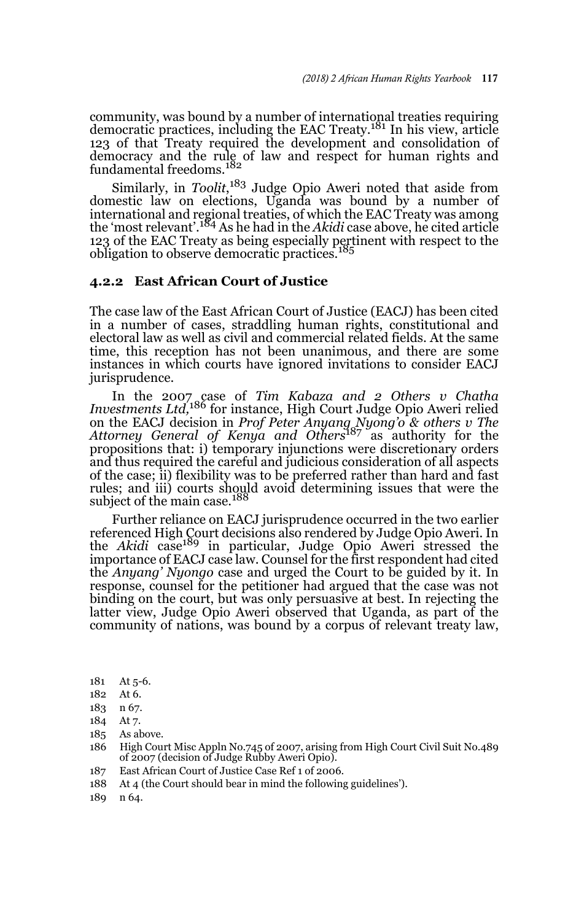community, was bound by a number of international treaties requiring<br>democratic practices, including the EAC Treaty.<sup>181</sup> In his view, article 123 of that Treaty required the development and consolidation of democracy and the rule of law and respect for human rights and<br>fundamental freedoms.<sup>182</sup>

Similarly, in *Toolit*, 183 Judge Opio Aweri noted that aside from domestic law on elections, Uganda was bound by a number of international and regional treaties, of which the EAC Treaty was among the 'most relevant'.184 As he had in the *Akidi* case above, he cited article 123 of the EAC Treaty as being especially pertinent with respect to the obligation to observe democratic practices.<sup>185</sup>

#### **4.2.2 East African Court of Justice**

The case law of the East African Court of Justice (EACJ) has been cited in a number of cases, straddling human rights, constitutional and electoral law as well as civil and commercial related fields. At the same time, this reception has not been unanimous, and there are some instances in which courts have ignored invitations to consider EACJ jurisprudence.

In the 2007 case of *Tim Kabaza and 2 Others v Chatha Investments Ltd,*186 for instance, High Court Judge Opio Aweri relied on the EACJ decision in *Prof Peter Anyang Nyong'o & others v The Attorney General of Kenya and Others*187 as authority for the propositions that: i) temporary injunctions were discretionary orders and thus required the careful and judicious consideration of all aspects of the case; ii) flexibility was to be preferred rather than hard and fast rules; and iii) courts should avoid determining issues that were the subject of the main case.<sup>188</sup>

Further reliance on EACJ jurisprudence occurred in the two earlier referenced High Court decisions also rendered by Judge Opio Aweri. In<br>the *Akidi c*ase<sup>189</sup> in particular, Judge Opio Aweri stressed the importance of EACJ case law. Counsel for the first respondent had cited the *Anyang' Nyongo* case and urged the Court to be guided by it. In response, counsel for the petitioner had argued that the case was not binding on the court, but was only persuasive at best. In rejecting the latter view, Judge Opio Aweri observed that Uganda, as part of the community of nations, was bound by a corpus of relevant treaty law,

- 187 East African Court of Justice Case Ref 1 of 2006.
- 188 At 4 (the Court should bear in mind the following guidelines').
- 189 n 64.

<sup>181</sup> At 5-6.

<sup>182</sup> At 6.

<sup>183</sup> n 67.

<sup>184</sup> At 7.

<sup>185</sup> As above.

<sup>186</sup> High Court Misc Appln No.745 of 2007, arising from High Court Civil Suit No.489 of 2007 (decision of Judge Rubby Aweri Opio).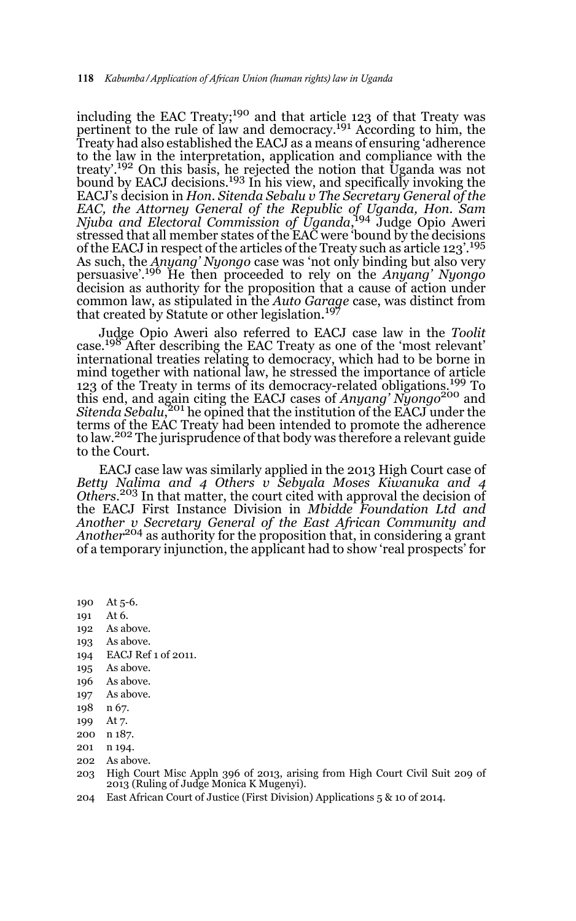including the EAC Treaty;<sup>190</sup> and that article 123 of that Treaty was pertinent to the rule of law and democracy.<sup>191</sup> According to him, the Treaty had also established the EACJ as a means of ensuring 'adherence to the law in the interpretation, application and compliance with the treaty'.192 On this basis, he rejected the notion that Uganda was not bound by EACJ decisions.<sup>193</sup> In his view, and specifically invoking the EACJ's decision in *Hon. Sitenda Sebalu v The Secretary General of the EAC, the Attorney General of the Republic of Uganda, Hon. Sam Njuba and Electoral Commission of Uganda*, 194 Judge Opio Aweri stressed that all member states of the EAC were 'bound by the decisions of the EACJ in respect of the articles of the Treaty such as article  $123'$ .<sup>195</sup> As such, the *Anyang' Nyongo* case was 'not only binding but also very persuasive'.196 He then proceeded to rely on the *Anyang' Nyongo* decision as authority for the proposition that a cause of action under common law, as stipulated in the *Auto Garage* case, was distinct from that created by Statute or other legislation. 197

Judge Opio Aweri also referred to EACJ case law in the *Toolit* case.<sup>198</sup> After describing the EAC Treaty as one of the 'most relevant' international treaties relating to democracy, which had to be borne in mind together with national law, he stressed the importance of article 123 of the Treaty in terms of its democracy-related obligations.<sup>199</sup> To this end, and again citing the EACJ cases of *Anyang' Nyongo*200 and *Sitenda Sebalu*, 201 he opined that the institution of the EACJ under the terms of the EAC Treaty had been intended to promote the adherence to law.<sup>202</sup> The jurisprudence of that body was therefore a relevant guide to the Court.

EACJ case law was similarly applied in the 2013 High Court case of *Betty Nalima and 4 Others v Sebyala Moses Kiwanuka and 4 Others.*203 In that matter, the court cited with approval the decision of the EACJ First Instance Division in *Mbidde Foundation Ltd and Another v Secretary General of the East African Community and Another*204 as authority for the proposition that, in considering a grant of a temporary injunction, the applicant had to show 'real prospects' for

190 At 5-6.

- 191 At 6.
- 192 As above.
- 193 As above.
- 194 EACJ Ref 1 of 2011.
- 195 As above.
- 196 As above.
- 197 As above.
- 198 n 67.
- 199 At 7.
- 200 n 187.
- 201 n 194.
- 202 As above.
- 203 High Court Misc Appln 396 of 2013, arising from High Court Civil Suit 209 of 2013 (Ruling of Judge Monica K Mugenyi).
- 204 East African Court of Justice (First Division) Applications 5 & 10 of 2014.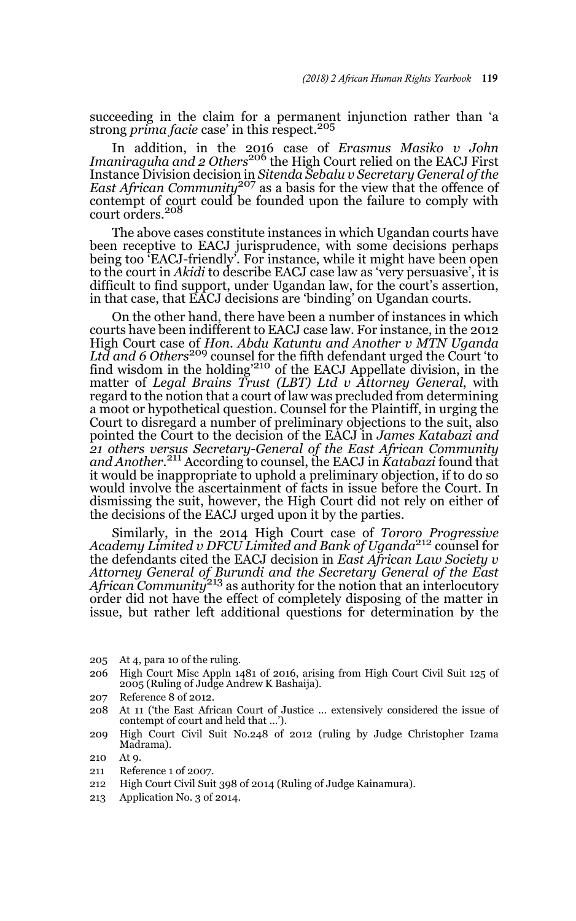succeeding in the claim for a permanent injunction rather than 'a strong *prima facie* case' in this respect.<sup>205</sup>

In addition, in the 2016 case of *Erasmus Masiko v John Imaniraguha and 2 Others*<sup>206</sup> the High Court relied on the EACJ First Instance Division decision in *Sitenda Sebalu v Secretary General of the East African Community*<sup>207</sup> as a basis for the view that the offence of contempt of court could be founded upon the failure to comply with court orders.<sup>208</sup>

The above cases constitute instances in which Ugandan courts have been receptive to EACJ jurisprudence, with some decisions perhaps being too 'EACJ-friendly'. For instance, while it might have been open to the court in *Akidi* to describe EACJ case law as 'very persuasive', it is difficult to find support, under Ugandan law, for the court's assertion, in that case, that EACJ decisions are 'binding' on Ugandan courts.

On the other hand, there have been a number of instances in which courts have been indifferent to EACJ case law. For instance, in the 2012 High Court case of *Hon. Abdu Katuntu and Another v MTN Uganda Ltd and 6 Others*209 counsel for the fifth defendant urged the Court 'to find wisdom in the holding<sup>'210</sup> of the EACJ Appellate division, in the matter of *Legal Brains Trust (LBT) Ltd v Attorney General*, with regard to the notion that a court of law was precluded from determining a moot or hypothetical question. Counsel for the Plaintiff, in urging the Court to disregard a number of preliminary objections to the suit, also pointed the Court to the decision of the EACJ in *James Katabazi and 21 others versus Secretary-General of the East African Community and Another.*<sup>211</sup> According to counsel, the EACJ in *Katabazi* found that it would be inappropriate to uphold a preliminary objection, if to do so would involve the ascertainment of facts in issue before the Court. In dismissing the suit, however, the High Court did not rely on either of the decisions of the EACJ urged upon it by the parties.

Similarly, in the 2014 High Court case of *Tororo Progressive Academy Limited v DFCU Limited and Bank of Uganda*212 counsel for the defendants cited the EACJ decision in *East African Law Society v Attorney General of Burundi and the Secretary General of the East African Community*<sup>213</sup> as authority for the notion that an interlocutory order did not have the effect of completely disposing of the matter in issue, but rather left additional questions for determination by the

- 205 At 4, para 10 of the ruling.
- 206 High Court Misc Appln 1481 of 2016, arising from High Court Civil Suit 125 of 2005 (Ruling of Judge Andrew K Bashaija).
- 207 Reference 8 of 2012.
- 208 At 11 ('the East African Court of Justice … extensively considered the issue of contempt of court and held that …').
- 209 High Court Civil Suit No.248 of 2012 (ruling by Judge Christopher Izama Madrama).

- 211 Reference 1 of 2007.
- 212 High Court Civil Suit 398 of 2014 (Ruling of Judge Kainamura).
- 213 Application No. 3 of 2014.

<sup>210</sup> At 9.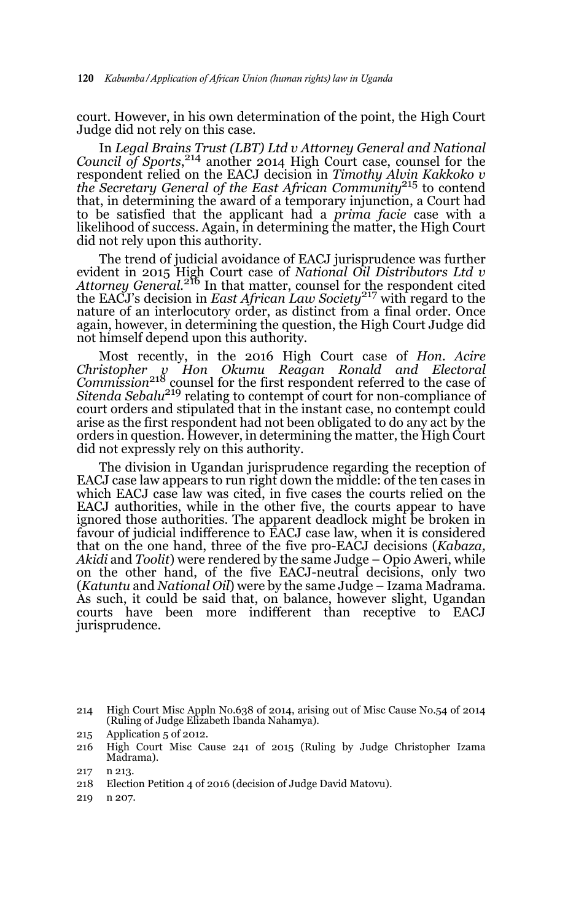court. However, in his own determination of the point, the High Court Judge did not rely on this case.

In *Legal Brains Trust (LBT) Ltd v Attorney General and National Council of Sports*, 214 another 2014 High Court case, counsel for the respondent relied on the EACJ decision in *Timothy Alvin Kakkoko v the Secretary General of the East African Community*<sup>215</sup> to contend that, in determining the award of a temporary injunction, a Court had to be satisfied that the applicant had a *prima facie* case with a likelihood of success. Again, in determining the matter, the High Court did not rely upon this authority.

The trend of judicial avoidance of EACJ jurisprudence was further evident in 2015 High Court case of *National Oil Distributors Ltd v Attorney General.*<sup>216</sup> In that matter, counsel for the respondent cited the EACJ's decision in *East African Law Society*<sup>217</sup> with regard to the nature of an interlocutory order, as distinct from a final order. Once again, however, in determining the question, the High Court Judge did not himself depend upon this authority.

Most recently, in the 2016 High Court case of *Hon. Acire Christopher v Hon Okumu Reagan Ronald and Electoral Commission*218 counsel for the first respondent referred to the case of *Sitenda Sebalu*219 relating to contempt of court for non-compliance of court orders and stipulated that in the instant case, no contempt could arise as the first respondent had not been obligated to do any act by the orders in question. However, in determining the matter, the High Court did not expressly rely on this authority.

The division in Ugandan jurisprudence regarding the reception of EACJ case law appears to run right down the middle: of the ten cases in which EACJ case law was cited, in five cases the courts relied on the EACJ authorities, while in the other five, the courts appear to have ignored those authorities. The apparent deadlock might be broken in favour of judicial indifference to EACJ case law, when it is considered that on the one hand, three of the five pro-EACJ decisions (*Kabaza, Akidi* and *Toolit*) were rendered by the same Judge – Opio Aweri, while on the other hand, of the five EACJ-neutral decisions, only two (*Katuntu* and *National Oil*) were by the same Judge – Izama Madrama. As such, it could be said that, on balance, however slight, Ugandan courts have been more indifferent than receptive to EACJ jurisprudence.

219 n 207.

<sup>214</sup> High Court Misc Appln No.638 of 2014, arising out of Misc Cause No.54 of 2014 (Ruling of Judge Elizabeth Ibanda Nahamya).

<sup>215</sup> Application 5 of 2012.

<sup>216</sup> High Court Misc Cause 241 of 2015 (Ruling by Judge Christopher Izama Madrama).

<sup>217</sup> n 213.

<sup>218</sup> Election Petition 4 of 2016 (decision of Judge David Matovu).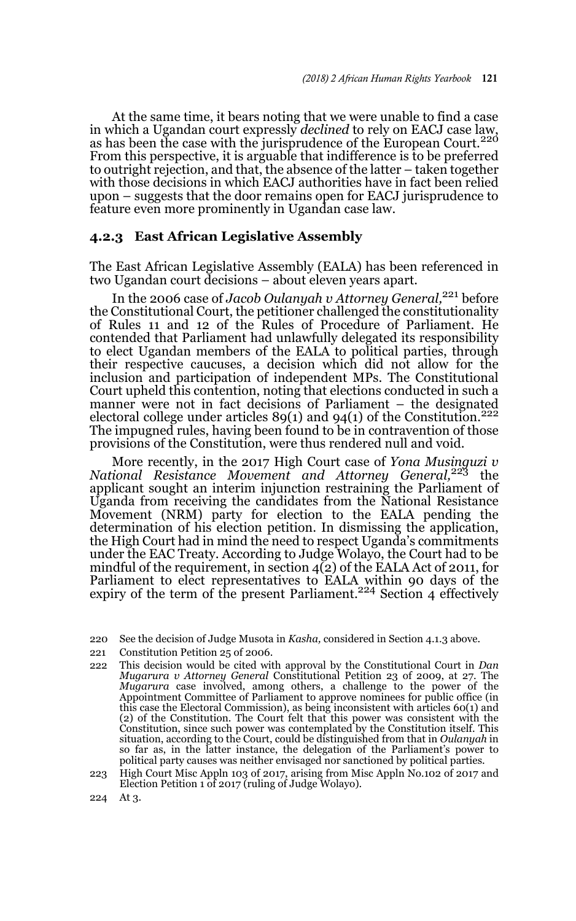At the same time, it bears noting that we were unable to find a case in which a Ugandan court expressly *declined* to rely on EACJ case law,<br>as has been the case with the jurisprudence of the European Court.<sup>220</sup> From this perspective, it is arguable that indifference is to be preferred to outright rejection, and that, the absence of the latter – taken together with those decisions in which EACJ authorities have in fact been relied upon – suggests that the door remains open for EACJ jurisprudence to feature even more prominently in Ugandan case law.

#### **4.2.3 East African Legislative Assembly**

The East African Legislative Assembly (EALA) has been referenced in two Ugandan court decisions – about eleven years apart.

In the 2006 case of *Jacob Oulanyah v Attorney General,*<sup>221</sup> before the Constitutional Court, the petitioner challenged the constitutionality of Rules 11 and 12 of the Rules of Procedure of Parliament. He contended that Parliament had unlawfully delegated its responsibility to elect Ugandan members of the EALA to political parties, through their respective caucuses, a decision which did not allow for the inclusion and participation of independent MPs. The Constitutional Court upheld this contention, noting that elections conducted in such a manner were not in fact decisions of Parliament – the designated electoral college under articles  $89(1)$  and  $94(1)$  of the Constitution.<sup>222</sup> The impugned rules, having been found to be in contravention of those provisions of the Constitution, were thus rendered null and void.

More recently, in the 2017 High Court case of *Yona Musinguzi v National Resistance Movement and Attorney General,*223 the applicant sought an interim injunction restraining the Parliament of Uganda from receiving the candidates from the National Resistance Movement (NRM) party for election to the EALA pending the determination of his election petition. In dismissing the application, the High Court had in mind the need to respect Uganda's commitments under the EAC Treaty. According to Judge Wolayo, the Court had to be mindful of the requirement, in section 4(2) of the EALA Act of 2011, for Parliament to elect representatives to EALA within 90 days of the expiry of the term of the present Parliament.<sup>224</sup> Section 4 effectively

- 221 Constitution Petition 25 of 2006.
- 222 This decision would be cited with approval by the Constitutional Court in *Dan Mugarura v Attorney General* Constitutional Petition 23 of 2009, at 27. The *Mugarura* case involved, among others, a challenge to the power of the Appointment Committee of Parliament to approve nominees for public office (in this case the Electoral Commission), as being inconsistent with articles 60(1) and (2) of the Constitution. The Court felt that this power was consistent with the Constitution, since such power was contemplated by the Constitution itself. This situation, according to the Court, could be distinguished from that in *Oulanyah* in so far as, in the latter instance, the delegation of the Parliament's power to political party causes was neither envisaged nor sanctioned by political parties.
- 223 High Court Misc Appln 103 of 2017, arising from Misc Appln No.102 of 2017 and Election Petition 1 of 2017 (ruling of Judge Wolayo).
- 224 At 3.

<sup>220</sup> See the decision of Judge Musota in *Kasha,* considered in Section 4.1.3 above.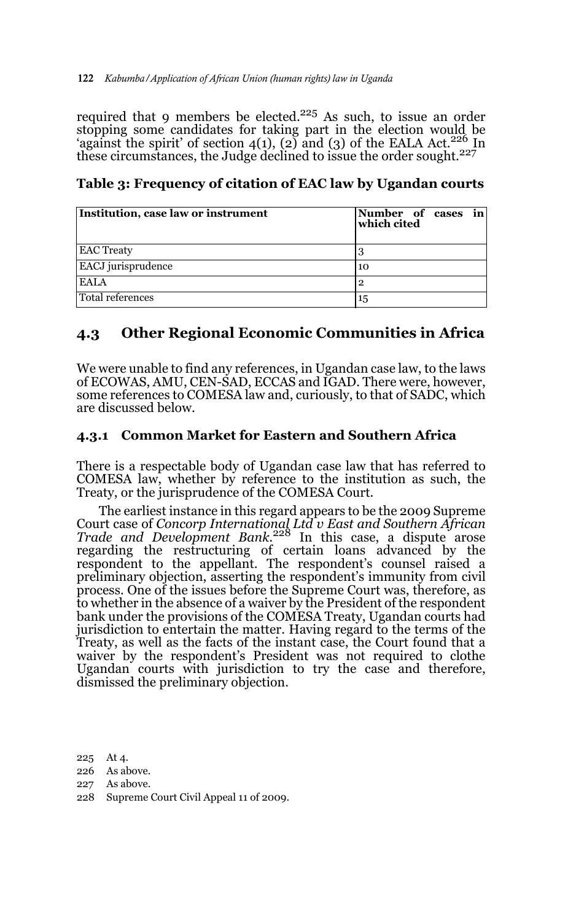required that 9 members be elected.<sup>225</sup> As such, to issue an order stopping some candidates for taking part in the election would be 'against the spirit' of section  $4(1)$ , (2) and (3) of the EALA Act.<sup>226</sup> In these circumstances, the Judge declined to issue the order sought.<sup>227</sup>

| Institution, case law or instrument | Number of cases in<br>which cited |
|-------------------------------------|-----------------------------------|
| <b>EAC Treaty</b>                   |                                   |
| <b>EACJ</b> jurisprudence           | 10                                |
| <b>EALA</b>                         | 2                                 |
| Total references                    | 15                                |

**Table 3: Frequency of citation of EAC law by Ugandan courts**

## **4.3 Other Regional Economic Communities in Africa**

We were unable to find any references, in Ugandan case law, to the laws of ECOWAS, AMU, CEN-SAD, ECCAS and IGAD. There were, however, some references to COMESA law and, curiously, to that of SADC, which are discussed below.

### **4.3.1 Common Market for Eastern and Southern Africa**

There is a respectable body of Ugandan case law that has referred to COMESA law, whether by reference to the institution as such, the Treaty, or the jurisprudence of the COMESA Court.

The earliest instance in this regard appears to be the 2009 Supreme Court case of *Concorp International Ltd v East and Southern African Trade and Development Bank.*228 In this case, a dispute arose regarding the restructuring of certain loans advanced by the respondent to the appellant. The respondent's counsel raised a preliminary objection, asserting the respondent's immunity from civil process. One of the issues before the Supreme Court was, therefore, as to whether in the absence of a waiver by the President of the respondent bank under the provisions of the COMESA Treaty, Ugandan courts had jurisdiction to entertain the matter. Having regard to the terms of the Treaty, as well as the facts of the instant case, the Court found that a waiver by the respondent's President was not required to clothe Ugandan courts with jurisdiction to try the case and therefore, dismissed the preliminary objection.

225 At 4.

- 226 As above.
- 227 As above.
- 228 Supreme Court Civil Appeal 11 of 2009.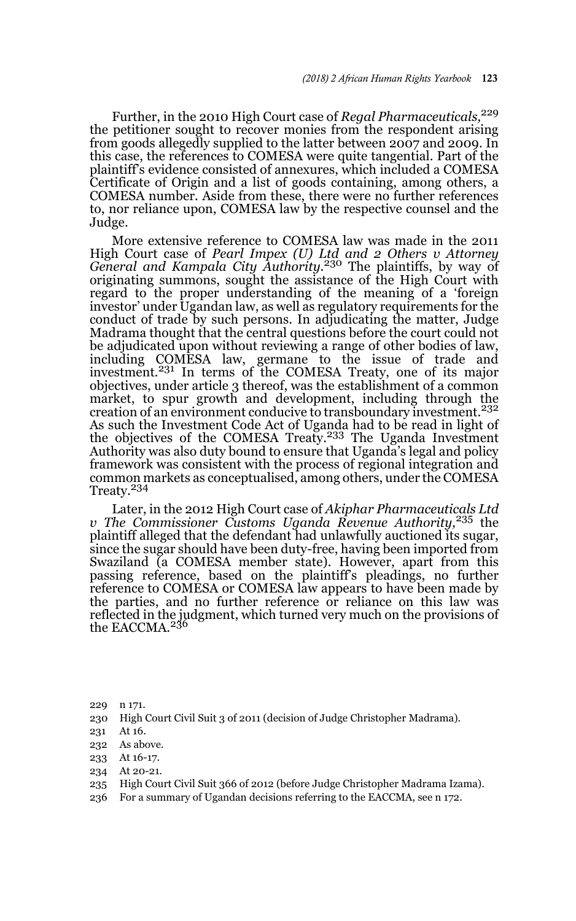Further, in the 2010 High Court case of *Regal Pharmaceuticals,*<sup>229</sup> the petitioner sought to recover monies from the respondent arising from goods allegedly supplied to the latter between 2007 and 2009. In this case, the references to COMESA were quite tangential. Part of the plaintiff's evidence consisted of annexures, which included a COMESA Certificate of Origin and a list of goods containing, among others, a COMESA number. Aside from these, there were no further references to, nor reliance upon, COMESA law by the respective counsel and the Judge.

More extensive reference to COMESA law was made in the 2011 High Court case of *Pearl Impex (U) Ltd and 2 Others v Attorney General and Kampala City Authority.*230 The plaintiffs, by way of originating summons, sought the assistance of the High Court with regard to the proper understanding of the meaning of a 'foreign investor' under Ugandan law, as well as regulatory requirements for the conduct of trade by such persons. In adjudicating the matter, Judge Madrama thought that the central questions before the court could not be adjudicated upon without reviewing a range of other bodies of law, including COMESA law, germane to the issue of trade and<br>investment.<sup>231</sup> In terms of the COMESA Treaty, one of its major objectives, under article 3 thereof, was the establishment of a common market, to spur growth and development, including through the creation of an environment conducive to transboundary investment.<sup>232</sup> As such the Investment Code Act of Uganda had to be read in light of the objectives of the COMESA Treaty.<sup>233</sup> The Uganda Investment Authority was also duty bound to ensure that Uganda's legal and policy framework was consistent with the process of regional integration and common markets as conceptualised, among others, under the COMESA Treaty.<sup>234</sup>

Later, in the 2012 High Court case of *Akiphar Pharmaceuticals Ltd v The Commissioner Customs Uganda Revenue Authority,*<sup>235</sup> the plaintiff alleged that the defendant had unlawfully auctioned its sugar, since the sugar should have been duty-free, having been imported from Swaziland (a COMESA member state). However, apart from this passing reference, based on the plaintiff's pleadings, no further reference to COMESA or COMESA law appears to have been made by the parties, and no further reference or reliance on this law was reflected in the judgment, which turned very much on the provisions of the EACCMA.<sup>236</sup>

230 High Court Civil Suit 3 of 2011 (decision of Judge Christopher Madrama).

- 232 As above.
- 233 At 16-17.
- 234 At 20-21.
- 235 High Court Civil Suit 366 of 2012 (before Judge Christopher Madrama Izama).
- 236 For a summary of Ugandan decisions referring to the EACCMA, see n 172.

<sup>229</sup> n 171.

<sup>231</sup> At 16.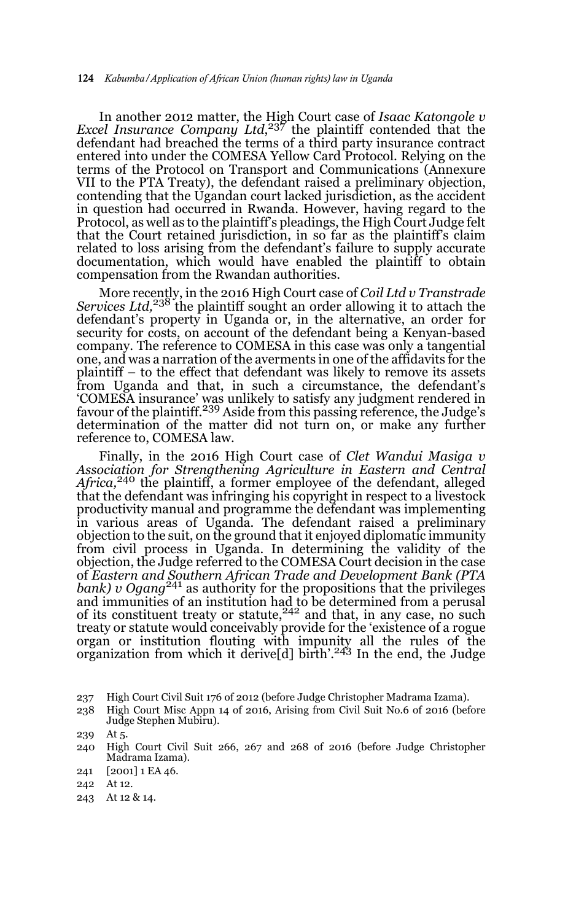In another 2012 matter, the High Court case of *Isaac Katongole v Excel Insurance Company Ltd*, 237 the plaintiff contended that the defendant had breached the terms of a third party insurance contract entered into under the COMESA Yellow Card Protocol. Relying on the terms of the Protocol on Transport and Communications (Annexure VII to the PTA Treaty), the defendant raised a preliminary objection, contending that the Ugandan court lacked jurisdiction, as the accident in question had occurred in Rwanda. However, having regard to the Protocol, as well as to the plaintiff's pleadings, the High Court Judge felt that the Court retained jurisdiction, in so far as the plaintiff's claim related to loss arising from the defendant's failure to supply accurate documentation, which would have enabled the plaintiff to obtain compensation from the Rwandan authorities.

More recently, in the 2016 High Court case of *Coil Ltd v Transtrade Services Ltd,*238 the plaintiff sought an order allowing it to attach the defendant's property in Uganda or, in the alternative, an order for security for costs, on account of the defendant being a Kenyan-based company. The reference to COMESA in this case was only a tangential one, and was a narration of the averments in one of the affidavits for the plaintiff – to the effect that defendant was likely to remove its assets from Uganda and that, in such a circumstance, the defendant's 'COMESA insurance' was unlikely to satisfy any judgment rendered in favour of the plaintiff.239 Aside from this passing reference, the Judge's determination of the matter did not turn on, or make any further reference to, COMESA law.

Finally, in the 2016 High Court case of *Clet Wandui Masiga v Association for Strengthening Agriculture in Eastern and Central Africa*,<sup>240</sup> the plaintiff, a former employee of the defendant, alleged that the defendant was infringing his copyright in respect to a livestock productivity manual and programme the defendant was implementing in various areas of Uganda. The defendant raised a preliminary objection to the suit, on the ground that it enjoyed diplomatic immunity from civil process in Uganda. In determining the validity of the objection, the Judge referred to the COMESA Court decision in the case of *Eastern and Southern African Trade and Development Bank (PTA bank) v Ogang*<sup>241</sup> as authority for the propositions that the privileges and immunities of an institution had to be determined from a perusal<br>of its constituent treaty or statute,<sup>242</sup> and that, in any case, no such treaty or statute would conceivably provide for the 'existence of a rogue organ or institution flouting with impunity all the rules of the organization from which it derive[d] birth'.243 In the end, the Judge

- 237 High Court Civil Suit 176 of 2012 (before Judge Christopher Madrama Izama).
- 238 High Court Misc Appn 14 of 2016, Arising from Civil Suit No.6 of 2016 (before Judge Stephen Mubiru).

- 242 At 12.
- 243 At 12 & 14.

<sup>239</sup> At 5.

<sup>240</sup> High Court Civil Suit 266, 267 and 268 of 2016 (before Judge Christopher Madrama Izama).

<sup>241 [2001] 1</sup> EA 46.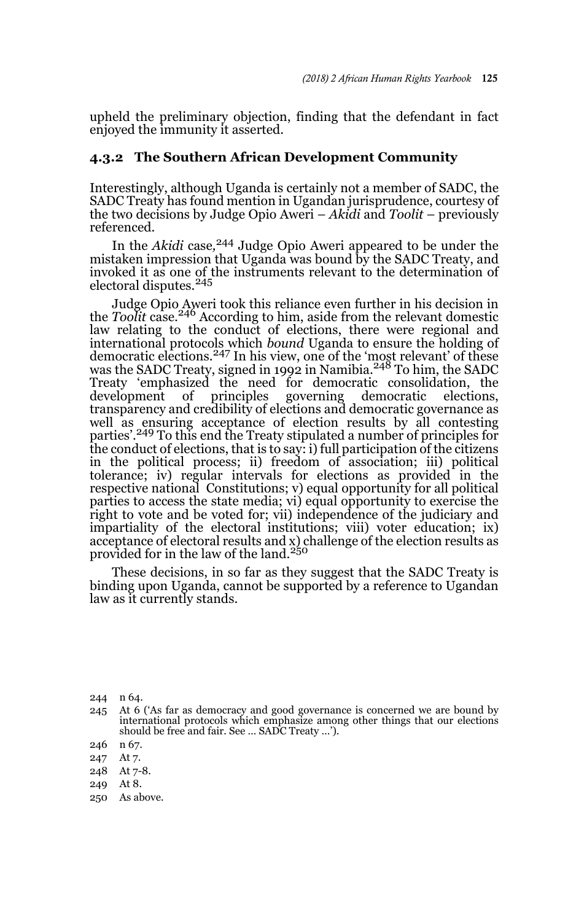upheld the preliminary objection, finding that the defendant in fact enjoyed the immunity it asserted.

#### **4.3.2 The Southern African Development Community**

Interestingly, although Uganda is certainly not a member of SADC, the SADC Treaty has found mention in Ugandan jurisprudence, courtesy of the two decisions by Judge Opio Aweri – *Akidi* and *Toolit* – previously referenced.

In the *Akidi* case*,* 244 Judge Opio Aweri appeared to be under the mistaken impression that Uganda was bound by the SADC Treaty, and invoked it as one of the instruments relevant to the determination of electoral disputes.<sup>245</sup>

Judge Opio Aweri took this reliance even further in his decision in the *Toolit* case.246 According to him, aside from the relevant domestic law relating to the conduct of elections, there were regional and international protocols which *bound* Uganda to ensure the holding of<br>democratic elections.<sup>247</sup> In his view, one of the 'most relevant' of these was the SADC Treaty, signed in 1992 in Namibia.<sup>248</sup> To him, the SADC Treaty 'emphasized the need for democratic consolidation, the development of principles governing democratic elections, development of principles governing democratic elections, transparency and credibility of elections and democratic governance as well as ensuring acceptance of election results by all contesting parties'.<sup>249</sup> To this end the Treaty stipulated a number of principles for the conduct of elections, that is to say: i) full participation of the citizens in the political process; ii) freedom of association; iii) political tolerance; iv) regular intervals for elections as provided in the respective national Constitutions; v) equal opportunity for all political parties to access the state media; vi) equal opportunity to exercise the right to vote and be voted for; vii) independence of the judiciary and impartiality of the electoral institutions; viii) voter education; ix) acceptance of electoral results and x) challenge of the election results as provided for in the law of the land.<sup>250</sup>

These decisions, in so far as they suggest that the SADC Treaty is binding upon Uganda, cannot be supported by a reference to Ugandan law as it currently stands.

244 n 64.

- 248 At 7-8.
- 249 At 8.
- 250 As above.

<sup>245</sup> At 6 ('As far as democracy and good governance is concerned we are bound by international protocols which emphasize among other things that our elections should be free and fair. See … SADC Treaty …').

<sup>246</sup> n 67.

<sup>247</sup> At 7.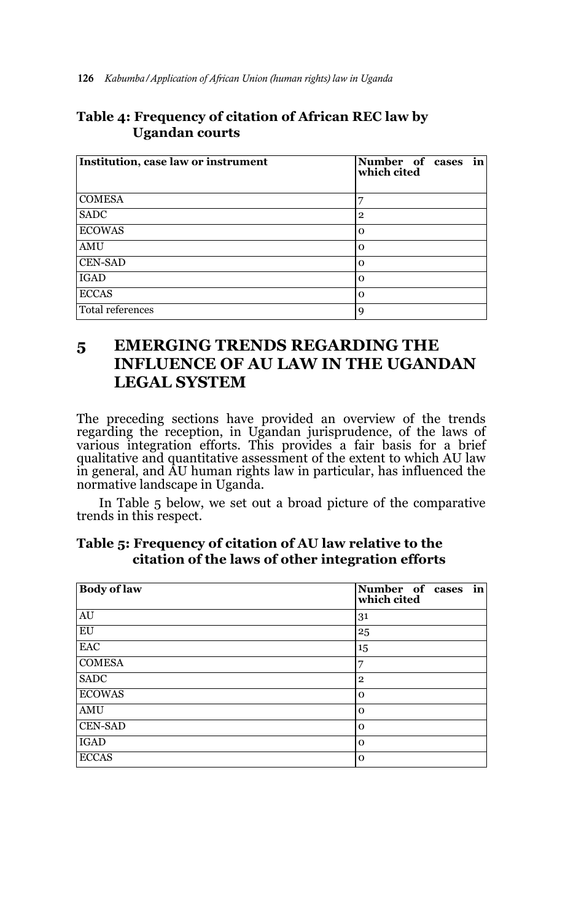| Institution, case law or instrument | Number of cases in<br>which cited |
|-------------------------------------|-----------------------------------|
| <b>COMESA</b>                       |                                   |
| SADC                                | $\overline{2}$                    |
| <b>ECOWAS</b>                       | റ                                 |
| AMU                                 | $\Omega$                          |
| <b>CEN-SAD</b>                      | n                                 |
| <b>IGAD</b>                         | $\Omega$                          |
| <b>ECCAS</b>                        | $\Omega$                          |
| Total references                    | q                                 |

## **Table 4: Frequency of citation of African REC law by Ugandan courts**

## **5 EMERGING TRENDS REGARDING THE INFLUENCE OF AU LAW IN THE UGANDAN LEGAL SYSTEM**

The preceding sections have provided an overview of the trends regarding the reception, in Ugandan jurisprudence, of the laws of various integration efforts. This provides a fair basis for a brief qualitative and quantitative assessment of the extent to which AU law in general, and AU human rights law in particular, has influenced the normative landscape in Uganda.

In Table 5 below, we set out a broad picture of the comparative trends in this respect.

| <b>Body of law</b> | Number of cases in<br>which cited |
|--------------------|-----------------------------------|
| AU                 | 31                                |
| EU                 | 25                                |
| <b>EAC</b>         | 15                                |
| <b>COMESA</b>      | 7                                 |
| <b>SADC</b>        | $\overline{2}$                    |
| <b>ECOWAS</b>      | $\Omega$                          |
| AMU                | $\Omega$                          |
| <b>CEN-SAD</b>     | $\Omega$                          |
| <b>IGAD</b>        | $\Omega$                          |
| <b>ECCAS</b>       | $\mathbf 0$                       |

| Table 5: Frequency of citation of AU law relative to the |  |
|----------------------------------------------------------|--|
| citation of the laws of other integration efforts        |  |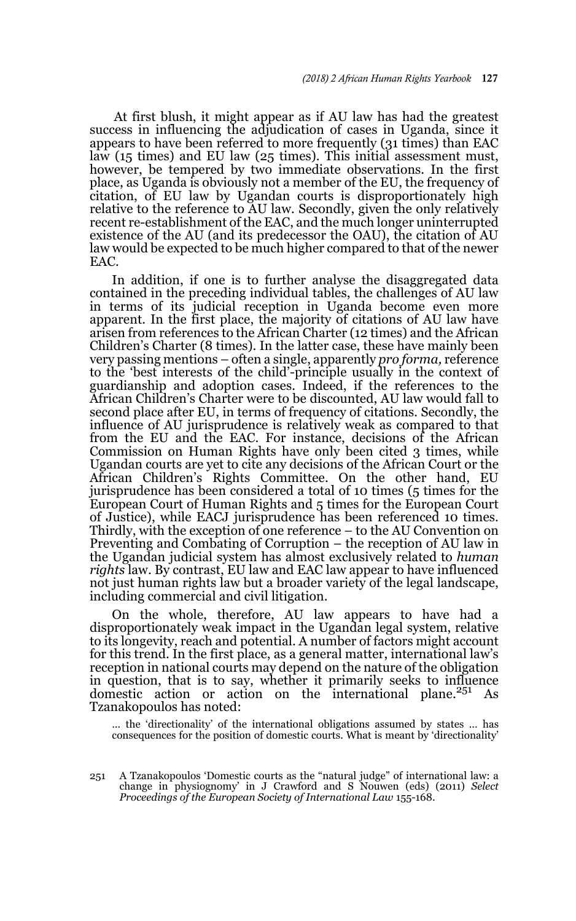At first blush, it might appear as if AU law has had the greatest success in influencing the adjudication of cases in Uganda, since it appears to have been referred to more frequently (31 times) than EAC law (15 times) and EU law (25 times). This initial assessment must, however, be tempered by two immediate observations. In the first place, as Uganda is obviously not a member of the EU, the frequency of citation, of EU law by Ugandan courts is disproportionately high relative to the reference to AU law. Secondly, given the only relatively recent re-establishment of the EAC, and the much longer uninterrupted existence of the AU (and its predecessor the OAU), the citation of AU law would be expected to be much higher compared to that of the newer EAC.

In addition, if one is to further analyse the disaggregated data contained in the preceding individual tables, the challenges of AU law in terms of its judicial reception in Uganda become even more apparent. In the first place, the majority of citations of AU law have arisen from references to the African Charter (12 times) and the African Children's Charter (8 times). In the latter case, these have mainly been very passing mentions – often a single, apparently *pro forma,* reference to the 'best interests of the child'-principle usually in the context of guardianship and adoption cases. Indeed, if the references to the African Children's Charter were to be discounted, AU law would fall to second place after EU, in terms of frequency of citations. Secondly, the influence of AU jurisprudence is relatively weak as compared to that from the EU and the EAC. For instance, decisions of the African Commission on Human Rights have only been cited 3 times, while Ugandan courts are yet to cite any decisions of the African Court or the African Children's Rights Committee. On the other hand, EU jurisprudence has been considered a total of 10 times (5 times for the European Court of Human Rights and 5 times for the European Court of Justice), while EACJ jurisprudence has been referenced 10 times. Thirdly, with the exception of one reference – to the AU Convention on Preventing and Combating of Corruption – the reception of AU law in the Ugandan judicial system has almost exclusively related to *human rights* law. By contrast, EU law and EAC law appear to have influenced not just human rights law but a broader variety of the legal landscape, including commercial and civil litigation.

On the whole, therefore, AU law appears to have had a disproportionately weak impact in the Ugandan legal system, relative to its longevity, reach and potential. A number of factors might account for this trend. In the first place, as a general matter, international law's reception in national courts may depend on the nature of the obligation in question, that is to say, whether it primarily seeks to influence domestic action or action on the international plane.<sup>251</sup> As Tzanakopoulos has noted:

… the 'directionality' of the international obligations assumed by states … has consequences for the position of domestic courts. What is meant by 'directionality'

<sup>251</sup> A Tzanakopoulos 'Domestic courts as the "natural judge" of international law: a change in physiognomy' in J Crawford and S Nouwen (eds) (2011) *Select Proceedings of the European Society of International Law* 155-168.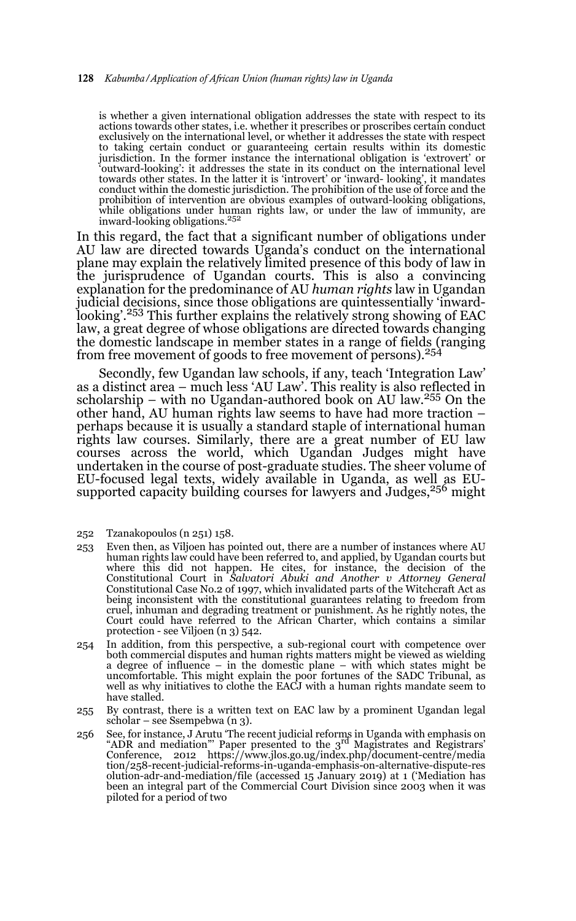is whether a given international obligation addresses the state with respect to its actions towards other states, i.e. whether it prescribes or proscribes certain conduct exclusively on the international level, or whether it addresses the state with respect to taking certain conduct or guaranteeing certain results within its domestic jurisdiction. In the former instance the international obligation is 'extrovert' or 'outward-looking': it addresses the state in its conduct on the international level towards other states. In the latter it is 'introvert' or 'inward- looking', it mandates conduct within the domestic jurisdiction. The prohibition of the use of force and the prohibition of intervention are obvious examples of outward-looking obligations, while obligations under human rights law, or under the law of immunity, are inward-looking obligations.<sup>252</sup>

In this regard, the fact that a significant number of obligations under AU law are directed towards Uganda's conduct on the international plane may explain the relatively limited presence of this body of law in the jurisprudence of Ugandan courts. This is also a convincing explanation for the predominance of AU *human rights* law in Ugandan judicial decisions, since those obligations are quintessentially 'inwardlooking'.<sup>253</sup> This further explains the relatively strong showing of EAC law, a great degree of whose obligations are directed towards changing the domestic landscape in member states in a range of fields (ranging from free movement of goods to free movement of persons).<sup>254</sup>

Secondly, few Ugandan law schools, if any, teach 'Integration Law' as a distinct area – much less 'AU Law'. This reality is also reflected in scholarship – with no Ugandan-authored book on AU law.<sup>255</sup> On the other hand, AU human rights law seems to have had more traction – perhaps because it is usually a standard staple of international human rights law courses. Similarly, there are a great number of EU law courses across the world, which Ugandan Judges might have undertaken in the course of post-graduate studies. The sheer volume of EU-focused legal texts, widely available in Uganda, as well as EUsupported capacity building courses for lawyers and Judges, $256$  might

- 252 Tzanakopoulos (n 251) 158.
- 253 Even then, as Viljoen has pointed out, there are a number of instances where AU human rights law could have been referred to, and applied, by Ugandan courts but where this did not happen. He cites, for instance, the decision of the Constitutional Court in *Salvatori Abuki and Another v Attorney General* Constitutional Case No.2 of 1997, which invalidated parts of the Witchcraft Act as being inconsistent with the constitutional guarantees relating to freedom from cruel, inhuman and degrading treatment or punishment. As he rightly notes, the Court could have referred to the African Charter, which contains a similar protection - see Viljoen (n 3) 542.
- 254 In addition, from this perspective, a sub-regional court with competence over both commercial disputes and human rights matters might be viewed as wielding a degree of influence – in the domestic plane – with which states might be uncomfortable. This might explain the poor fortunes of the SADC Tribunal, as well as why initiatives to clothe the EACJ with a human rights mandate seem to have stalled.
- 255 By contrast, there is a written text on EAC law by a prominent Ugandan legal scholar – see Ssempebwa (n 3).
- 256 See, for instance, J Arutu 'The recent judicial reforms in Uganda with emphasis on "ADR and mediation" Paper presented to the 3<sup>rd</sup> Magistrates and Registrars' Conference, 2012 https://www.jlos.go.ug/index.php/document-centre/media tion/258-recent-judicial-reforms-in-uganda-emphasis-on-alternative-dispute-res olution-adr-and-mediation/file (accessed 15 January 2019) at 1 ('Mediation has been an integral part of the Commercial Court Division since 2003 when it was piloted for a period of two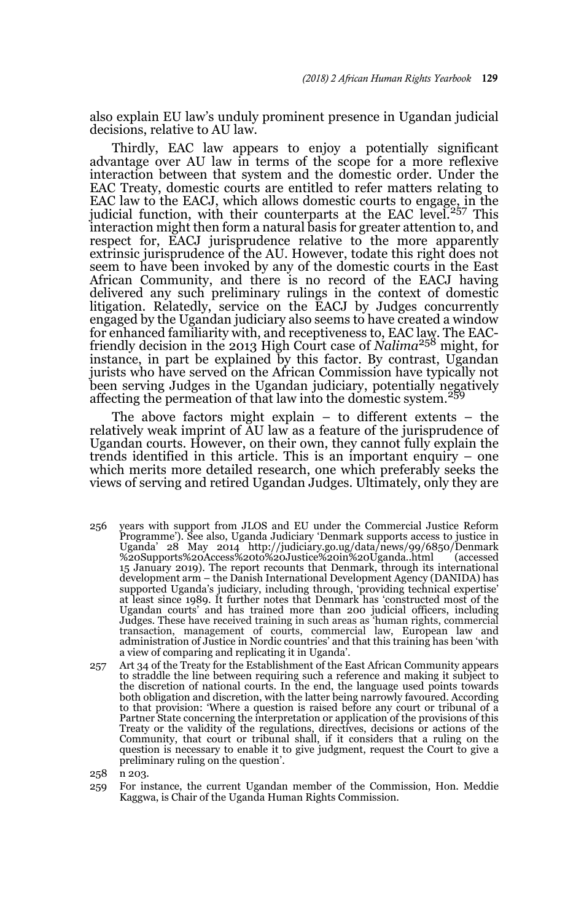also explain EU law's unduly prominent presence in Ugandan judicial decisions, relative to AU law.

Thirdly, EAC law appears to enjoy a potentially significant advantage over AU law in terms of the scope for a more reflexive interaction between that system and the domestic order. Under the EAC Treaty, domestic courts are entitled to refer matters relating to EAC law to the EACJ, which allows domestic courts to engage, in the judicial function, with their counterparts at the EAC level.<sup>257</sup> This interaction might then form a natural basis for greater attention to, and respect for, EACJ jurisprudence relative to the more apparently extrinsic jurisprudence of the AU. However, todate this right does not seem to have been invoked by any of the domestic courts in the East African Community, and there is no record of the EACJ having delivered any such preliminary rulings in the context of domestic litigation. Relatedly, service on the EACJ by Judges concurrently engaged by the Ugandan judiciary also seems to have created a window for enhanced familiarity with, and receptiveness to, EAC law. The EACfriendly decision in the 2013 High Court case of *Nalima*<sup>258</sup> might, for instance, in part be explained by this factor. By contrast, Ugandan jurists who have served on the African Commission have typically not been serving Judges in the Ugandan judiciary, potentially negatively affecting the permeation of that law into the domestic system.<sup>259</sup>

The above factors might explain – to different extents – the relatively weak imprint of AU law as a feature of the jurisprudence of Ugandan courts. However, on their own, they cannot fully explain the trends identified in this article. This is an important enquiry – one which merits more detailed research, one which preferably seeks the views of serving and retired Ugandan Judges. Ultimately, only they are

- 256 years with support from JLOS and EU under the Commercial Justice Reform Programme'). See also, Uganda Judiciary 'Denmark supports access to justice in Uganda' 28 May 2014 http://judiciary.go.ug/data/news/99/6850/Denmark %20Supports%20Access%20to%20Justice%20in%20Uganda..html (accessed 15 January 2019). The report recounts that Denmark, through its international development arm – the Danish International Development Agency (DANIDA) has supported Uganda's judiciary, including through, 'providing technical expertise' at least since 1989. It further notes that Denmark has 'constructed most of the Ugandan courts' and has trained more than 200 judicial officers, including Judges. These have received training in such areas as 'human rights, commercial transaction, management of courts, commercial law, European law and administration of Justice in Nordic countries' and that this training has been 'with a view of comparing and replicating it in Uganda'.
- 257 Art 34 of the Treaty for the Establishment of the East African Community appears to straddle the line between requiring such a reference and making it subject to the discretion of national courts. In the end, the language used points towards both obligation and discretion, with the latter being narrowly favoured. According to that provision: 'Where a question is raised before any court or tribunal of a Partner State concerning the interpretation or application of the provisions of this Treaty or the validity of the regulations, directives, decisions or actions of the Community, that court or tribunal shall, if it considers that a ruling on the question is necessary to enable it to give judgment, request the Court to give a preliminary ruling on the question'.

<sup>258</sup> n 203.

<sup>259</sup> For instance, the current Ugandan member of the Commission, Hon. Meddie Kaggwa, is Chair of the Uganda Human Rights Commission.